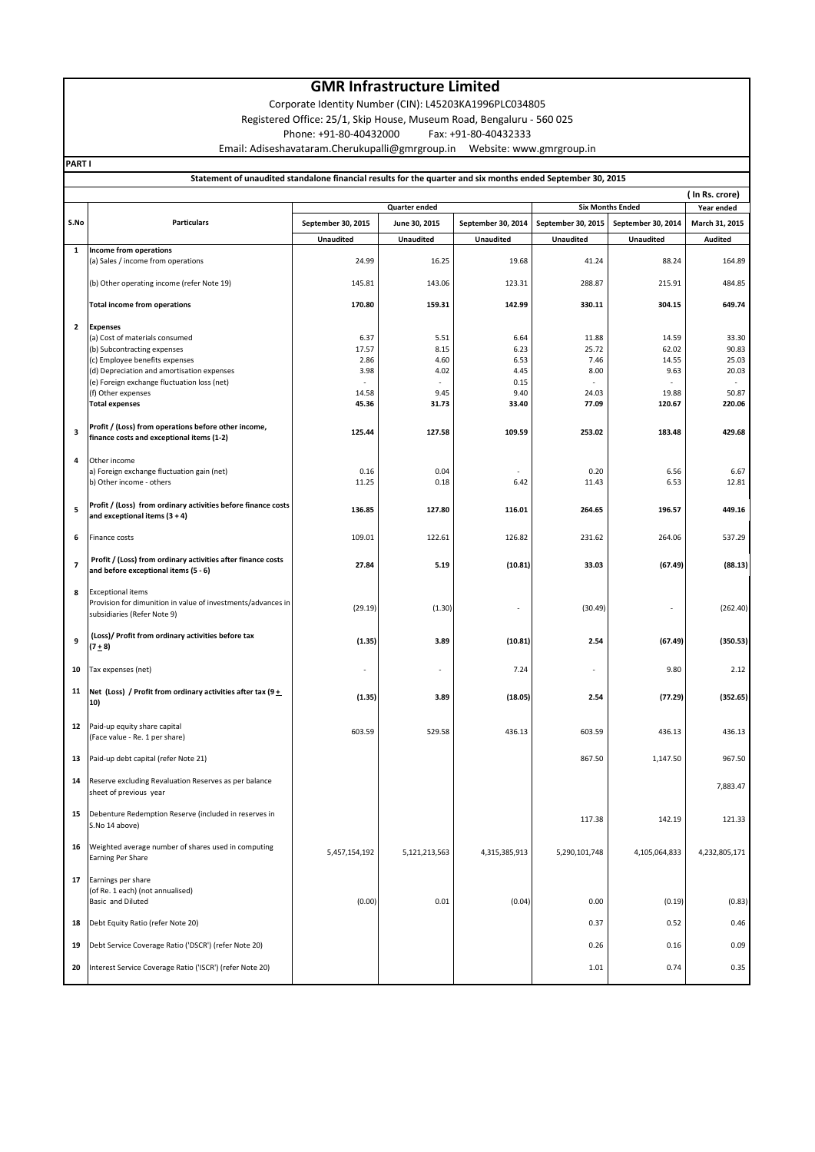#### **GMR Infrastructure Limited**

Corporate Identity Number (CIN): L45203KA1996PLC034805

Registered Office: 25/1, Skip House, Museum Road, Bengaluru - 560 025

Phone: +91-80-40432000 Fax: +91-80-40432333

Email: Adiseshavataram.Cherukupalli@gmrgroup.in Website: www.gmrgroup.in

**PART I**

#### **Statement of unaudited standalone financial results for the quarter and six months ended September 30, 2015**

|      |                                                                                                                         |                    |                  |                    |                    |                    | (In Rs. crore) |
|------|-------------------------------------------------------------------------------------------------------------------------|--------------------|------------------|--------------------|--------------------|--------------------|----------------|
|      | <b>Six Months Ended</b><br>Quarter ended                                                                                |                    |                  |                    |                    |                    | Year ended     |
| S.No | <b>Particulars</b>                                                                                                      | September 30, 2015 | June 30, 2015    | September 30, 2014 | September 30, 2015 | September 30, 2014 | March 31, 2015 |
|      |                                                                                                                         | <b>Unaudited</b>   | <b>Unaudited</b> | <b>Unaudited</b>   | <b>Unaudited</b>   | <b>Unaudited</b>   | <b>Audited</b> |
| 1    | Income from operations                                                                                                  |                    |                  |                    |                    |                    |                |
|      | (a) Sales / income from operations                                                                                      | 24.99              | 16.25            | 19.68              | 41.24              | 88.24              | 164.89         |
|      | (b) Other operating income (refer Note 19)                                                                              | 145.81             | 143.06           | 123.31             | 288.87             | 215.91             | 484.85         |
|      |                                                                                                                         |                    |                  |                    |                    |                    |                |
|      | <b>Total income from operations</b>                                                                                     | 170.80             | 159.31           | 142.99             | 330.11             | 304.15             | 649.74         |
| 2    | <b>Expenses</b>                                                                                                         |                    |                  |                    |                    |                    |                |
|      | (a) Cost of materials consumed                                                                                          | 6.37               | 5.51             | 6.64               | 11.88              | 14.59              | 33.30          |
|      | (b) Subcontracting expenses                                                                                             | 17.57              | 8.15             | 6.23               | 25.72              | 62.02              | 90.83          |
|      | (c) Employee benefits expenses                                                                                          | 2.86               | 4.60             | 6.53               | 7.46               | 14.55              | 25.03          |
|      | (d) Depreciation and amortisation expenses                                                                              | 3.98               | 4.02             | 4.45               | 8.00               | 9.63               | 20.03<br>÷     |
|      | (e) Foreign exchange fluctuation loss (net)<br>(f) Other expenses                                                       | 14.58              | 9.45             | 0.15<br>9.40       | 24.03              | 19.88              | 50.87          |
|      | <b>Total expenses</b>                                                                                                   | 45.36              | 31.73            | 33.40              | 77.09              | 120.67             | 220.06         |
|      |                                                                                                                         |                    |                  |                    |                    |                    |                |
| 3    | Profit / (Loss) from operations before other income,<br>finance costs and exceptional items (1-2)                       | 125.44             | 127.58           | 109.59             | 253.02             | 183.48             | 429.68         |
|      |                                                                                                                         |                    |                  |                    |                    |                    |                |
| 4    | Other income                                                                                                            |                    |                  |                    |                    |                    |                |
|      | a) Foreign exchange fluctuation gain (net)<br>b) Other income - others                                                  | 0.16               | 0.04             |                    | 0.20               | 6.56               | 6.67           |
|      |                                                                                                                         | 11.25              | 0.18             | 6.42               | 11.43              | 6.53               | 12.81          |
| 5    | Profit / (Loss) from ordinary activities before finance costs<br>and exceptional items $(3 + 4)$                        | 136.85             | 127.80           | 116.01             | 264.65             | 196.57             | 449.16         |
| 6    | Finance costs                                                                                                           | 109.01             | 122.61           | 126.82             | 231.62             | 264.06             | 537.29         |
| 7    | Profit / (Loss) from ordinary activities after finance costs<br>and before exceptional items (5 - 6)                    | 27.84              | 5.19             | (10.81)            | 33.03              | (67.49)            | (88.13)        |
| 8    | <b>Exceptional items</b><br>Provision for dimunition in value of investments/advances in<br>subsidiaries (Refer Note 9) | (29.19)            | (1.30)           |                    | (30.49)            |                    | (262.40)       |
| 9    | (Loss)/ Profit from ordinary activities before tax<br>$(7+8)$                                                           | (1.35)             | 3.89             | (10.81)            | 2.54               | (67.49)            | (350.53)       |
| 10   | Tax expenses (net)                                                                                                      |                    |                  | 7.24               |                    | 9.80               | 2.12           |
| 11   | Net (Loss) / Profit from ordinary activities after tax (9 $\pm$<br>10)                                                  | (1.35)             | 3.89             | (18.05)            | 2.54               | (77.29)            | (352.65)       |
| 12   | Paid-up equity share capital                                                                                            | 603.59             | 529.58           | 436.13             | 603.59             | 436.13             | 436.13         |
|      | (Face value - Re. 1 per share)                                                                                          |                    |                  |                    |                    |                    |                |
| 13   | Paid-up debt capital (refer Note 21)                                                                                    |                    |                  |                    | 867.50             | 1,147.50           | 967.50         |
| 14   | Reserve excluding Revaluation Reserves as per balance<br>sheet of previous year                                         |                    |                  |                    |                    |                    | 7,883.47       |
| 15   | Debenture Redemption Reserve (included in reserves in<br>S.No 14 above)                                                 |                    |                  |                    | 117.38             | 142.19             | 121.33         |
| 16   | Weighted average number of shares used in computing<br>Earning Per Share                                                | 5,457,154,192      | 5,121,213,563    | 4,315,385,913      | 5,290,101,748      | 4,105,064,833      | 4,232,805,171  |
| 17   | Earnings per share<br>(of Re. 1 each) (not annualised)<br>Basic and Diluted                                             | (0.00)             | 0.01             | (0.04)             | 0.00               | (0.19)             | (0.83)         |
| 18   | Debt Equity Ratio (refer Note 20)                                                                                       |                    |                  |                    | 0.37               | 0.52               | 0.46           |
| 19   | Debt Service Coverage Ratio ('DSCR') (refer Note 20)                                                                    |                    |                  |                    | 0.26               | 0.16               | 0.09           |
| 20   | Interest Service Coverage Ratio ('ISCR') (refer Note 20)                                                                |                    |                  |                    | 1.01               | 0.74               | 0.35           |
|      |                                                                                                                         |                    |                  |                    |                    |                    |                |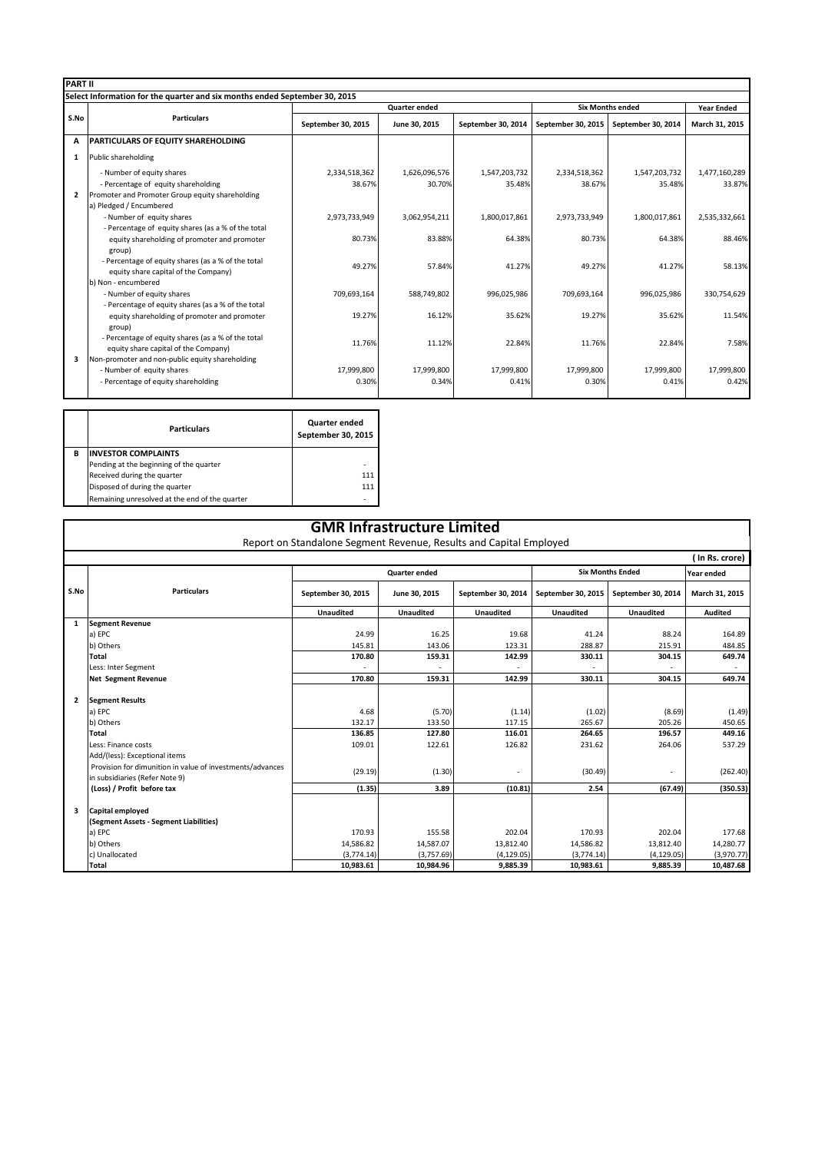|                | <b>PART II</b>                                                                                     |                      |               |                    |                         |                    |                   |  |  |
|----------------|----------------------------------------------------------------------------------------------------|----------------------|---------------|--------------------|-------------------------|--------------------|-------------------|--|--|
|                | Select Information for the quarter and six months ended September 30, 2015                         |                      |               |                    |                         |                    |                   |  |  |
|                | <b>Particulars</b>                                                                                 | <b>Quarter ended</b> |               |                    | <b>Six Months ended</b> |                    | <b>Year Ended</b> |  |  |
| S.No           |                                                                                                    | September 30, 2015   | June 30, 2015 | September 30, 2014 | September 30, 2015      | September 30, 2014 | March 31, 2015    |  |  |
| A              | <b>PARTICULARS OF EQUITY SHAREHOLDING</b>                                                          |                      |               |                    |                         |                    |                   |  |  |
| 1              | Public shareholding                                                                                |                      |               |                    |                         |                    |                   |  |  |
|                | - Number of equity shares                                                                          | 2,334,518,362        | 1,626,096,576 | 1,547,203,732      | 2,334,518,362           | 1,547,203,732      | 1,477,160,289     |  |  |
|                | - Percentage of equity shareholding                                                                | 38.67%               | 30.70%        | 35.48%             | 38.67%                  | 35.48%             | 33.87%            |  |  |
| $\overline{2}$ | Promoter and Promoter Group equity shareholding                                                    |                      |               |                    |                         |                    |                   |  |  |
|                | a) Pledged / Encumbered                                                                            |                      |               |                    |                         |                    |                   |  |  |
|                | - Number of equity shares                                                                          | 2,973,733,949        | 3,062,954,211 | 1,800,017,861      | 2,973,733,949           | 1,800,017,861      | 2,535,332,661     |  |  |
|                | - Percentage of equity shares (as a % of the total                                                 |                      |               |                    |                         |                    |                   |  |  |
|                | equity shareholding of promoter and promoter                                                       | 80.73%               | 83.88%        | 64.38%             | 80.73%                  | 64.38%             | 88.46%            |  |  |
|                | group)                                                                                             |                      |               |                    |                         |                    |                   |  |  |
|                | - Percentage of equity shares (as a % of the total                                                 | 49.27%               | 57.84%        | 41.27%             | 49.27%                  | 41.27%             | 58.13%            |  |  |
|                | equity share capital of the Company)                                                               |                      |               |                    |                         |                    |                   |  |  |
|                | b) Non - encumbered                                                                                |                      |               |                    |                         |                    |                   |  |  |
|                | - Number of equity shares                                                                          | 709,693,164          | 588,749,802   | 996,025,986        | 709,693,164             | 996,025,986        | 330,754,629       |  |  |
|                | - Percentage of equity shares (as a % of the total<br>equity shareholding of promoter and promoter | 19.27%               | 16.12%        | 35.62%             | 19.27%                  | 35.62%             | 11.54%            |  |  |
|                | group)                                                                                             |                      |               |                    |                         |                    |                   |  |  |
|                | - Percentage of equity shares (as a % of the total                                                 |                      |               |                    |                         |                    |                   |  |  |
|                | equity share capital of the Company)                                                               | 11.76%               | 11.12%        | 22.84%             | 11.76%                  | 22.84%             | 7.58%             |  |  |
| 3              | Non-promoter and non-public equity shareholding                                                    |                      |               |                    |                         |                    |                   |  |  |
|                | - Number of equity shares                                                                          | 17,999,800           | 17,999,800    | 17,999,800         | 17,999,800              | 17,999,800         | 17,999,800        |  |  |
|                | - Percentage of equity shareholding                                                                | 0.30%                | 0.34%         | 0.41%              | 0.30%                   | 0.41%              | 0.42%             |  |  |
|                |                                                                                                    |                      |               |                    |                         |                    |                   |  |  |

|   | <b>Particulars</b>                             | Quarter ended<br>September 30, 2015 |  |
|---|------------------------------------------------|-------------------------------------|--|
| в | <b>INVESTOR COMPLAINTS</b>                     |                                     |  |
|   | Pending at the beginning of the quarter        | ۰                                   |  |
|   | Received during the quarter                    | 111                                 |  |
|   | Disposed of during the quarter                 | 111                                 |  |
|   | Remaining unresolved at the end of the quarter | ۰                                   |  |

| <b>GMR Infrastructure Limited</b><br>Report on Standalone Segment Revenue, Results and Capital Employed |                                                                                             |                    |                  |                    |                    |                    |                |  |  |  |
|---------------------------------------------------------------------------------------------------------|---------------------------------------------------------------------------------------------|--------------------|------------------|--------------------|--------------------|--------------------|----------------|--|--|--|
|                                                                                                         | (In Rs. crore)                                                                              |                    |                  |                    |                    |                    |                |  |  |  |
|                                                                                                         | <b>Six Months Ended</b><br><b>Quarter ended</b>                                             |                    |                  |                    |                    | Year ended         |                |  |  |  |
| S.No                                                                                                    | <b>Particulars</b>                                                                          | September 30, 2015 | June 30, 2015    | September 30, 2014 | September 30, 2015 | September 30, 2014 | March 31, 2015 |  |  |  |
|                                                                                                         |                                                                                             | <b>Unaudited</b>   | <b>Unaudited</b> | <b>Unaudited</b>   | <b>Unaudited</b>   | <b>Unaudited</b>   | <b>Audited</b> |  |  |  |
| 1                                                                                                       | <b>Segment Revenue</b>                                                                      |                    |                  |                    |                    |                    |                |  |  |  |
|                                                                                                         | a) EPC                                                                                      | 24.99              | 16.25            | 19.68              | 41.24              | 88.24              | 164.89         |  |  |  |
|                                                                                                         | b) Others                                                                                   | 145.81             | 143.06           | 123.31             | 288.87             | 215.91             | 484.85         |  |  |  |
|                                                                                                         | <b>Total</b>                                                                                | 170.80             | 159.31           | 142.99             | 330.11             | 304.15             | 649.74         |  |  |  |
|                                                                                                         | Less: Inter Segment                                                                         |                    |                  |                    |                    |                    |                |  |  |  |
|                                                                                                         | <b>Net Segment Revenue</b>                                                                  | 170.80             | 159.31           | 142.99             | 330.11             | 304.15             | 649.74         |  |  |  |
| $\overline{2}$                                                                                          | <b>Segment Results</b>                                                                      |                    |                  |                    |                    |                    |                |  |  |  |
|                                                                                                         | a) EPC                                                                                      | 4.68               | (5.70)           | (1.14)             | (1.02)             | (8.69)             | (1.49)         |  |  |  |
|                                                                                                         | b) Others                                                                                   | 132.17             | 133.50           | 117.15             | 265.67             | 205.26             | 450.65         |  |  |  |
|                                                                                                         | <b>Total</b>                                                                                | 136.85             | 127.80           | 116.01             | 264.65             | 196.57             | 449.16         |  |  |  |
|                                                                                                         | Less: Finance costs                                                                         | 109.01             | 122.61           | 126.82             | 231.62             | 264.06             | 537.29         |  |  |  |
|                                                                                                         | Add/(less): Exceptional items                                                               |                    |                  |                    |                    |                    |                |  |  |  |
|                                                                                                         | Provision for dimunition in value of investments/advances<br>in subsidiaries (Refer Note 9) | (29.19)            | (1.30)           | ٠                  | (30.49)            |                    | (262.40)       |  |  |  |
|                                                                                                         | (Loss) / Profit before tax                                                                  | (1.35)             | 3.89             | (10.81)            | 2.54               | (67.49)            | (350.53)       |  |  |  |
| 3                                                                                                       | Capital employed                                                                            |                    |                  |                    |                    |                    |                |  |  |  |
|                                                                                                         | (Segment Assets - Segment Liabilities)                                                      |                    |                  |                    |                    |                    |                |  |  |  |
|                                                                                                         | a) EPC                                                                                      | 170.93             | 155.58           | 202.04             | 170.93             | 202.04             | 177.68         |  |  |  |
|                                                                                                         | b) Others                                                                                   | 14,586.82          | 14,587.07        | 13,812.40          | 14,586.82          | 13,812.40          | 14,280.77      |  |  |  |
|                                                                                                         | c) Unallocated                                                                              | (3,774.14)         | (3,757.69)       | (4, 129.05)        | (3,774.14)         | (4, 129.05)        | (3,970.77)     |  |  |  |
|                                                                                                         | Total                                                                                       | 10.983.61          | 10.984.96        | 9.885.39           | 10.983.61          | 9.885.39           | 10,487.68      |  |  |  |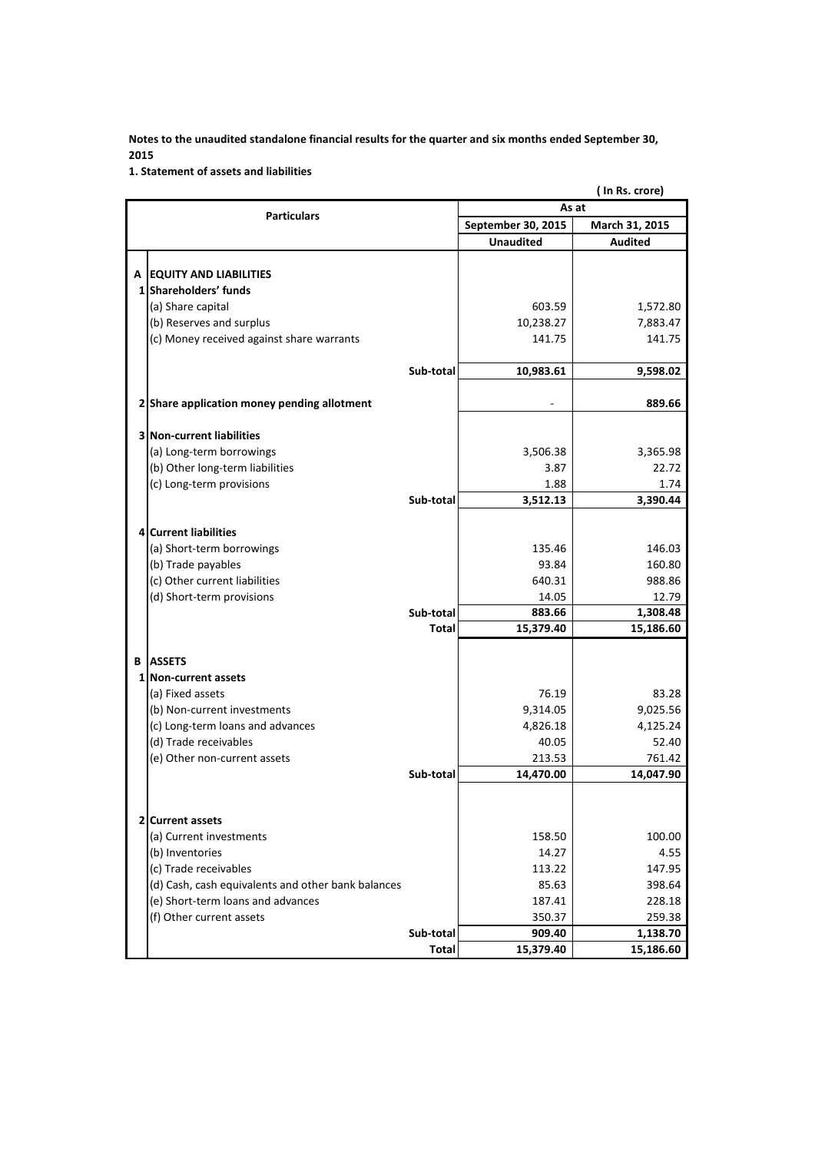**1. Statement of assets and liabilities**

|   | (In Rs. crore)                                     |              |                     |                     |  |
|---|----------------------------------------------------|--------------|---------------------|---------------------|--|
|   | <b>Particulars</b>                                 | As at        |                     |                     |  |
|   |                                                    |              | September 30, 2015  | March 31, 2015      |  |
|   |                                                    |              | <b>Unaudited</b>    | <b>Audited</b>      |  |
|   |                                                    |              |                     |                     |  |
| A | <b>EQUITY AND LIABILITIES</b>                      |              |                     |                     |  |
|   | 1 Shareholders' funds                              |              |                     |                     |  |
|   | (a) Share capital                                  |              | 603.59              | 1,572.80            |  |
|   | (b) Reserves and surplus                           |              | 10,238.27           | 7,883.47            |  |
|   | (c) Money received against share warrants          |              | 141.75              | 141.75              |  |
|   |                                                    |              |                     |                     |  |
|   |                                                    | Sub-total    | 10,983.61           | 9,598.02            |  |
|   | 2 Share application money pending allotment        |              |                     | 889.66              |  |
|   |                                                    |              |                     |                     |  |
|   | <b>3 Non-current liabilities</b>                   |              |                     |                     |  |
|   | (a) Long-term borrowings                           |              | 3,506.38            | 3,365.98            |  |
|   | (b) Other long-term liabilities                    |              | 3.87                | 22.72               |  |
|   | (c) Long-term provisions                           |              | 1.88                | 1.74                |  |
|   |                                                    | Sub-total    | 3,512.13            | 3,390.44            |  |
|   |                                                    |              |                     |                     |  |
|   | 4 Current liabilities                              |              |                     |                     |  |
|   | (a) Short-term borrowings                          |              | 135.46              | 146.03              |  |
|   | (b) Trade payables                                 |              | 93.84               | 160.80              |  |
|   | (c) Other current liabilities                      |              | 640.31              | 988.86              |  |
|   | (d) Short-term provisions                          |              | 14.05               | 12.79               |  |
|   |                                                    | Sub-total    | 883.66              | 1,308.48            |  |
|   |                                                    | <b>Total</b> | 15,379.40           | 15,186.60           |  |
|   |                                                    |              |                     |                     |  |
| В | <b>ASSETS</b>                                      |              |                     |                     |  |
|   | 1 Non-current assets                               |              |                     |                     |  |
|   | (a) Fixed assets                                   |              | 76.19               | 83.28               |  |
|   | (b) Non-current investments                        |              | 9,314.05            | 9,025.56            |  |
|   | (c) Long-term loans and advances                   |              | 4,826.18            | 4,125.24            |  |
|   | (d) Trade receivables                              |              | 40.05               | 52.40               |  |
|   | (e) Other non-current assets                       | Sub-total    | 213.53<br>14,470.00 | 761.42<br>14,047.90 |  |
|   |                                                    |              |                     |                     |  |
|   |                                                    |              |                     |                     |  |
|   | 2 Current assets                                   |              |                     |                     |  |
|   | (a) Current investments                            |              | 158.50              | 100.00              |  |
|   | (b) Inventories                                    |              | 14.27               | 4.55                |  |
|   | (c) Trade receivables                              |              | 113.22              | 147.95              |  |
|   | (d) Cash, cash equivalents and other bank balances |              | 85.63               | 398.64              |  |
|   | (e) Short-term loans and advances                  |              | 187.41              | 228.18              |  |
|   | (f) Other current assets                           |              | 350.37              | 259.38              |  |
|   |                                                    | Sub-total    | 909.40              | 1,138.70            |  |
|   |                                                    | <b>Total</b> | 15,379.40           | 15,186.60           |  |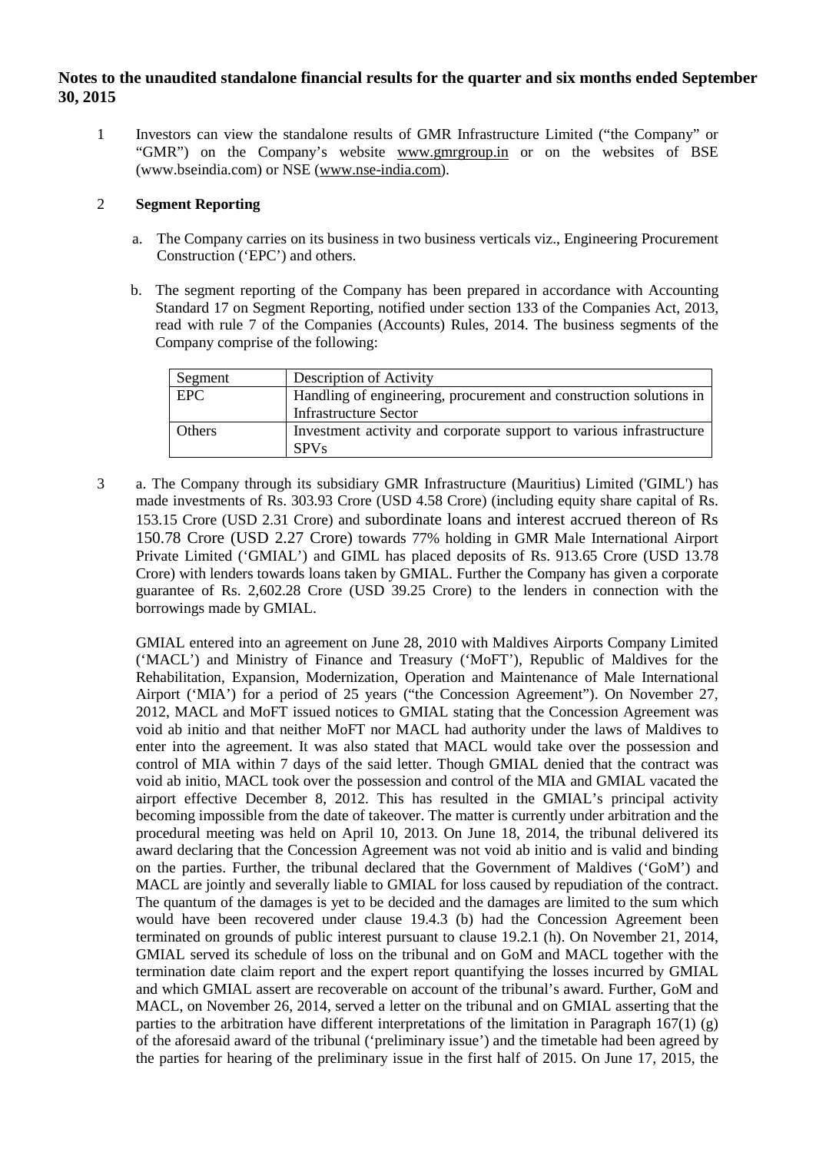1 Investors can view the standalone results of GMR Infrastructure Limited ("the Company" or "GMR") on the Company's website [www.gmrgroup.in](http://www.gmrgroup.in/) or on the websites of BSE (www.bseindia.com) or NSE [\(www.nse-india.com\)](http://www.nse-india.com/).

#### 2 **Segment Reporting**

- a. The Company carries on its business in two business verticals viz., Engineering Procurement Construction ('EPC') and others.
- b. The segment reporting of the Company has been prepared in accordance with Accounting Standard 17 on Segment Reporting, notified under section 133 of the Companies Act, 2013, read with rule 7 of the Companies (Accounts) Rules, 2014. The business segments of the Company comprise of the following:

| Segment    | Description of Activity                                             |
|------------|---------------------------------------------------------------------|
| <b>EPC</b> | Handling of engineering, procurement and construction solutions in  |
|            | <b>Infrastructure Sector</b>                                        |
| Others     | Investment activity and corporate support to various infrastructure |
|            | <b>SPVs</b>                                                         |

3 a. The Company through its subsidiary GMR Infrastructure (Mauritius) Limited ('GIML') has made investments of Rs. 303.93 Crore (USD 4.58 Crore) (including equity share capital of Rs. 153.15 Crore (USD 2.31 Crore) and subordinate loans and interest accrued thereon of Rs 150.78 Crore (USD 2.27 Crore) towards 77% holding in GMR Male International Airport Private Limited ('GMIAL') and GIML has placed deposits of Rs. 913.65 Crore (USD 13.78 Crore) with lenders towards loans taken by GMIAL. Further the Company has given a corporate guarantee of Rs. 2,602.28 Crore (USD 39.25 Crore) to the lenders in connection with the borrowings made by GMIAL.

GMIAL entered into an agreement on June 28, 2010 with Maldives Airports Company Limited ('MACL') and Ministry of Finance and Treasury ('MoFT'), Republic of Maldives for the Rehabilitation, Expansion, Modernization, Operation and Maintenance of Male International Airport ('MIA') for a period of 25 years ("the Concession Agreement"). On November 27, 2012, MACL and MoFT issued notices to GMIAL stating that the Concession Agreement was void ab initio and that neither MoFT nor MACL had authority under the laws of Maldives to enter into the agreement. It was also stated that MACL would take over the possession and control of MIA within 7 days of the said letter. Though GMIAL denied that the contract was void ab initio, MACL took over the possession and control of the MIA and GMIAL vacated the airport effective December 8, 2012. This has resulted in the GMIAL's principal activity becoming impossible from the date of takeover. The matter is currently under arbitration and the procedural meeting was held on April 10, 2013. On June 18, 2014, the tribunal delivered its award declaring that the Concession Agreement was not void ab initio and is valid and binding on the parties. Further, the tribunal declared that the Government of Maldives ('GoM') and MACL are jointly and severally liable to GMIAL for loss caused by repudiation of the contract. The quantum of the damages is yet to be decided and the damages are limited to the sum which would have been recovered under clause 19.4.3 (b) had the Concession Agreement been terminated on grounds of public interest pursuant to clause 19.2.1 (h). On November 21, 2014, GMIAL served its schedule of loss on the tribunal and on GoM and MACL together with the termination date claim report and the expert report quantifying the losses incurred by GMIAL and which GMIAL assert are recoverable on account of the tribunal's award. Further, GoM and MACL, on November 26, 2014, served a letter on the tribunal and on GMIAL asserting that the parties to the arbitration have different interpretations of the limitation in Paragraph  $167(1)$  (g) of the aforesaid award of the tribunal ('preliminary issue') and the timetable had been agreed by the parties for hearing of the preliminary issue in the first half of 2015. On June 17, 2015, the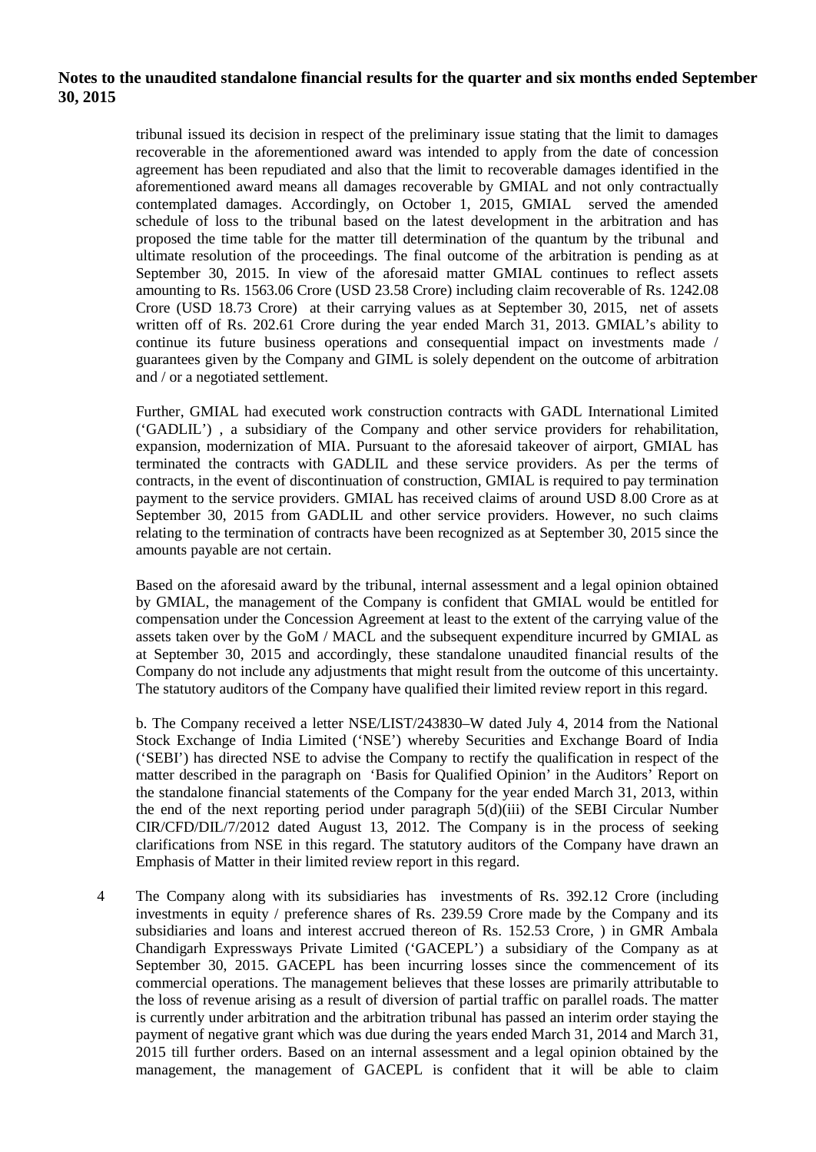tribunal issued its decision in respect of the preliminary issue stating that the limit to damages recoverable in the aforementioned award was intended to apply from the date of concession agreement has been repudiated and also that the limit to recoverable damages identified in the aforementioned award means all damages recoverable by GMIAL and not only contractually contemplated damages. Accordingly, on October 1, 2015, GMIAL served the amended schedule of loss to the tribunal based on the latest development in the arbitration and has proposed the time table for the matter till determination of the quantum by the tribunal and ultimate resolution of the proceedings. The final outcome of the arbitration is pending as at September 30, 2015. In view of the aforesaid matter GMIAL continues to reflect assets amounting to Rs. 1563.06 Crore (USD 23.58 Crore) including claim recoverable of Rs. 1242.08 Crore (USD 18.73 Crore) at their carrying values as at September 30, 2015, net of assets written off of Rs. 202.61 Crore during the year ended March 31, 2013. GMIAL's ability to continue its future business operations and consequential impact on investments made / guarantees given by the Company and GIML is solely dependent on the outcome of arbitration and / or a negotiated settlement.

Further, GMIAL had executed work construction contracts with GADL International Limited ('GADLIL') , a subsidiary of the Company and other service providers for rehabilitation, expansion, modernization of MIA. Pursuant to the aforesaid takeover of airport, GMIAL has terminated the contracts with GADLIL and these service providers. As per the terms of contracts, in the event of discontinuation of construction, GMIAL is required to pay termination payment to the service providers. GMIAL has received claims of around USD 8.00 Crore as at September 30, 2015 from GADLIL and other service providers. However, no such claims relating to the termination of contracts have been recognized as at September 30, 2015 since the amounts payable are not certain.

Based on the aforesaid award by the tribunal, internal assessment and a legal opinion obtained by GMIAL, the management of the Company is confident that GMIAL would be entitled for compensation under the Concession Agreement at least to the extent of the carrying value of the assets taken over by the GoM / MACL and the subsequent expenditure incurred by GMIAL as at September 30, 2015 and accordingly, these standalone unaudited financial results of the Company do not include any adjustments that might result from the outcome of this uncertainty. The statutory auditors of the Company have qualified their limited review report in this regard.

b. The Company received a letter NSE/LIST/243830–W dated July 4, 2014 from the National Stock Exchange of India Limited ('NSE') whereby Securities and Exchange Board of India ('SEBI') has directed NSE to advise the Company to rectify the qualification in respect of the matter described in the paragraph on 'Basis for Qualified Opinion' in the Auditors' Report on the standalone financial statements of the Company for the year ended March 31, 2013, within the end of the next reporting period under paragraph 5(d)(iii) of the SEBI Circular Number CIR/CFD/DIL/7/2012 dated August 13, 2012. The Company is in the process of seeking clarifications from NSE in this regard. The statutory auditors of the Company have drawn an Emphasis of Matter in their limited review report in this regard.

4 The Company along with its subsidiaries has investments of Rs. 392.12 Crore (including investments in equity / preference shares of Rs. 239.59 Crore made by the Company and its subsidiaries and loans and interest accrued thereon of Rs. 152.53 Crore, ) in GMR Ambala Chandigarh Expressways Private Limited ('GACEPL') a subsidiary of the Company as at September 30, 2015. GACEPL has been incurring losses since the commencement of its commercial operations. The management believes that these losses are primarily attributable to the loss of revenue arising as a result of diversion of partial traffic on parallel roads. The matter is currently under arbitration and the arbitration tribunal has passed an interim order staying the payment of negative grant which was due during the years ended March 31, 2014 and March 31, 2015 till further orders. Based on an internal assessment and a legal opinion obtained by the management, the management of GACEPL is confident that it will be able to claim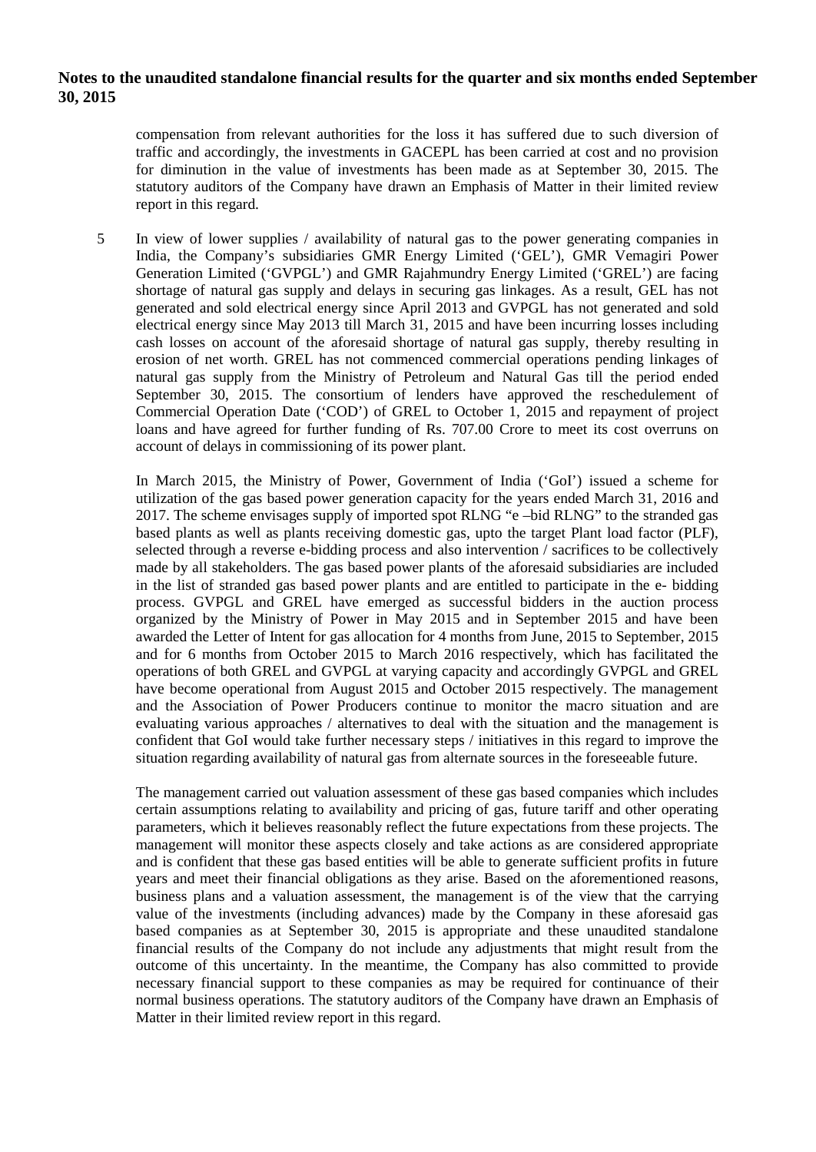compensation from relevant authorities for the loss it has suffered due to such diversion of traffic and accordingly, the investments in GACEPL has been carried at cost and no provision for diminution in the value of investments has been made as at September 30, 2015. The statutory auditors of the Company have drawn an Emphasis of Matter in their limited review report in this regard.

5 In view of lower supplies / availability of natural gas to the power generating companies in India, the Company's subsidiaries GMR Energy Limited ('GEL'), GMR Vemagiri Power Generation Limited ('GVPGL') and GMR Rajahmundry Energy Limited ('GREL') are facing shortage of natural gas supply and delays in securing gas linkages. As a result, GEL has not generated and sold electrical energy since April 2013 and GVPGL has not generated and sold electrical energy since May 2013 till March 31, 2015 and have been incurring losses including cash losses on account of the aforesaid shortage of natural gas supply, thereby resulting in erosion of net worth. GREL has not commenced commercial operations pending linkages of natural gas supply from the Ministry of Petroleum and Natural Gas till the period ended September 30, 2015. The consortium of lenders have approved the reschedulement of Commercial Operation Date ('COD') of GREL to October 1, 2015 and repayment of project loans and have agreed for further funding of Rs. 707.00 Crore to meet its cost overruns on account of delays in commissioning of its power plant.

In March 2015, the Ministry of Power, Government of India ('GoI') issued a scheme for utilization of the gas based power generation capacity for the years ended March 31, 2016 and 2017. The scheme envisages supply of imported spot RLNG "e –bid RLNG" to the stranded gas based plants as well as plants receiving domestic gas, upto the target Plant load factor (PLF), selected through a reverse e-bidding process and also intervention / sacrifices to be collectively made by all stakeholders. The gas based power plants of the aforesaid subsidiaries are included in the list of stranded gas based power plants and are entitled to participate in the e- bidding process. GVPGL and GREL have emerged as successful bidders in the auction process organized by the Ministry of Power in May 2015 and in September 2015 and have been awarded the Letter of Intent for gas allocation for 4 months from June, 2015 to September, 2015 and for 6 months from October 2015 to March 2016 respectively, which has facilitated the operations of both GREL and GVPGL at varying capacity and accordingly GVPGL and GREL have become operational from August 2015 and October 2015 respectively. The management and the Association of Power Producers continue to monitor the macro situation and are evaluating various approaches / alternatives to deal with the situation and the management is confident that GoI would take further necessary steps / initiatives in this regard to improve the situation regarding availability of natural gas from alternate sources in the foreseeable future.

The management carried out valuation assessment of these gas based companies which includes certain assumptions relating to availability and pricing of gas, future tariff and other operating parameters, which it believes reasonably reflect the future expectations from these projects. The management will monitor these aspects closely and take actions as are considered appropriate and is confident that these gas based entities will be able to generate sufficient profits in future years and meet their financial obligations as they arise. Based on the aforementioned reasons, business plans and a valuation assessment, the management is of the view that the carrying value of the investments (including advances) made by the Company in these aforesaid gas based companies as at September 30, 2015 is appropriate and these unaudited standalone financial results of the Company do not include any adjustments that might result from the outcome of this uncertainty. In the meantime, the Company has also committed to provide necessary financial support to these companies as may be required for continuance of their normal business operations. The statutory auditors of the Company have drawn an Emphasis of Matter in their limited review report in this regard.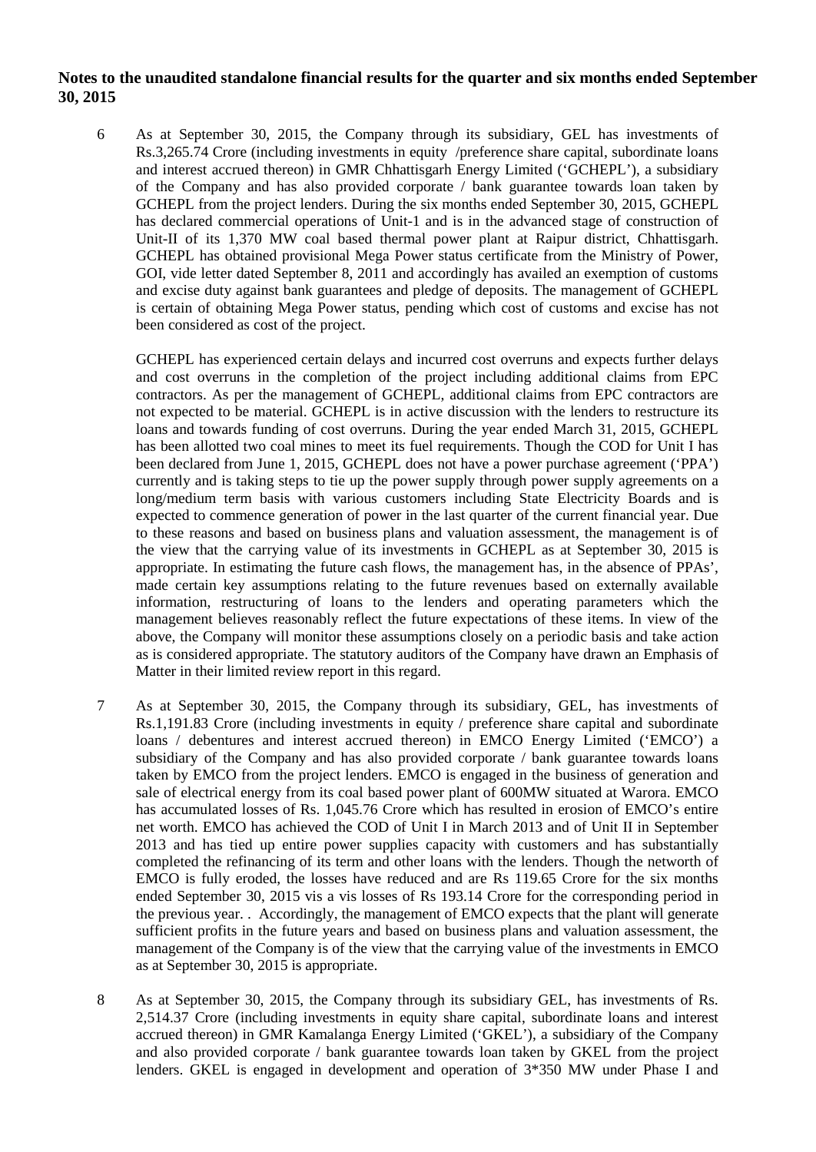6 As at September 30, 2015, the Company through its subsidiary, GEL has investments of Rs.3,265.74 Crore (including investments in equity /preference share capital, subordinate loans and interest accrued thereon) in GMR Chhattisgarh Energy Limited ('GCHEPL'), a subsidiary of the Company and has also provided corporate / bank guarantee towards loan taken by GCHEPL from the project lenders. During the six months ended September 30, 2015, GCHEPL has declared commercial operations of Unit-1 and is in the advanced stage of construction of Unit-II of its 1,370 MW coal based thermal power plant at Raipur district, Chhattisgarh. GCHEPL has obtained provisional Mega Power status certificate from the Ministry of Power, GOI, vide letter dated September 8, 2011 and accordingly has availed an exemption of customs and excise duty against bank guarantees and pledge of deposits. The management of GCHEPL is certain of obtaining Mega Power status, pending which cost of customs and excise has not been considered as cost of the project.

GCHEPL has experienced certain delays and incurred cost overruns and expects further delays and cost overruns in the completion of the project including additional claims from EPC contractors. As per the management of GCHEPL, additional claims from EPC contractors are not expected to be material. GCHEPL is in active discussion with the lenders to restructure its loans and towards funding of cost overruns. During the year ended March 31, 2015, GCHEPL has been allotted two coal mines to meet its fuel requirements. Though the COD for Unit I has been declared from June 1, 2015, GCHEPL does not have a power purchase agreement ('PPA') currently and is taking steps to tie up the power supply through power supply agreements on a long/medium term basis with various customers including State Electricity Boards and is expected to commence generation of power in the last quarter of the current financial year. Due to these reasons and based on business plans and valuation assessment, the management is of the view that the carrying value of its investments in GCHEPL as at September 30, 2015 is appropriate. In estimating the future cash flows, the management has, in the absence of PPAs', made certain key assumptions relating to the future revenues based on externally available information, restructuring of loans to the lenders and operating parameters which the management believes reasonably reflect the future expectations of these items. In view of the above, the Company will monitor these assumptions closely on a periodic basis and take action as is considered appropriate. The statutory auditors of the Company have drawn an Emphasis of Matter in their limited review report in this regard.

- 7 As at September 30, 2015, the Company through its subsidiary, GEL, has investments of Rs.1,191.83 Crore (including investments in equity / preference share capital and subordinate loans / debentures and interest accrued thereon) in EMCO Energy Limited ('EMCO') a subsidiary of the Company and has also provided corporate / bank guarantee towards loans taken by EMCO from the project lenders. EMCO is engaged in the business of generation and sale of electrical energy from its coal based power plant of 600MW situated at Warora. EMCO has accumulated losses of Rs. 1,045.76 Crore which has resulted in erosion of EMCO's entire net worth. EMCO has achieved the COD of Unit I in March 2013 and of Unit II in September 2013 and has tied up entire power supplies capacity with customers and has substantially completed the refinancing of its term and other loans with the lenders. Though the networth of EMCO is fully eroded, the losses have reduced and are Rs 119.65 Crore for the six months ended September 30, 2015 vis a vis losses of Rs 193.14 Crore for the corresponding period in the previous year. . Accordingly, the management of EMCO expects that the plant will generate sufficient profits in the future years and based on business plans and valuation assessment, the management of the Company is of the view that the carrying value of the investments in EMCO as at September 30, 2015 is appropriate.
- 8 As at September 30, 2015, the Company through its subsidiary GEL, has investments of Rs. 2,514.37 Crore (including investments in equity share capital, subordinate loans and interest accrued thereon) in GMR Kamalanga Energy Limited ('GKEL'), a subsidiary of the Company and also provided corporate / bank guarantee towards loan taken by GKEL from the project lenders. GKEL is engaged in development and operation of 3\*350 MW under Phase I and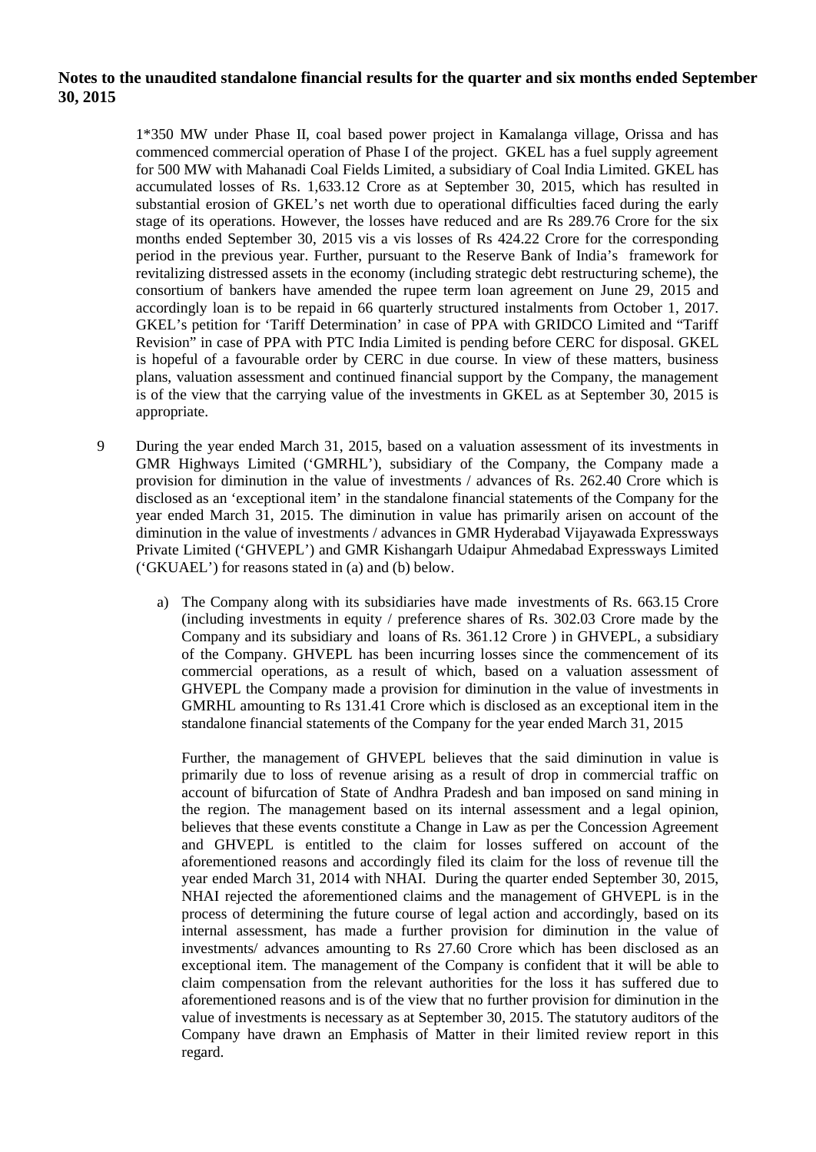1\*350 MW under Phase II, coal based power project in Kamalanga village, Orissa and has commenced commercial operation of Phase I of the project. GKEL has a fuel supply agreement for 500 MW with Mahanadi Coal Fields Limited, a subsidiary of Coal India Limited. GKEL has accumulated losses of Rs. 1,633.12 Crore as at September 30, 2015, which has resulted in substantial erosion of GKEL's net worth due to operational difficulties faced during the early stage of its operations. However, the losses have reduced and are Rs 289.76 Crore for the six months ended September 30, 2015 vis a vis losses of Rs 424.22 Crore for the corresponding period in the previous year. Further, pursuant to the Reserve Bank of India's framework for revitalizing distressed assets in the economy (including strategic debt restructuring scheme), the consortium of bankers have amended the rupee term loan agreement on June 29, 2015 and accordingly loan is to be repaid in 66 quarterly structured instalments from October 1, 2017. GKEL's petition for 'Tariff Determination' in case of PPA with GRIDCO Limited and "Tariff Revision" in case of PPA with PTC India Limited is pending before CERC for disposal. GKEL is hopeful of a favourable order by CERC in due course. In view of these matters, business plans, valuation assessment and continued financial support by the Company, the management is of the view that the carrying value of the investments in GKEL as at September 30, 2015 is appropriate.

- 9 During the year ended March 31, 2015, based on a valuation assessment of its investments in GMR Highways Limited ('GMRHL'), subsidiary of the Company, the Company made a provision for diminution in the value of investments / advances of Rs. 262.40 Crore which is disclosed as an 'exceptional item' in the standalone financial statements of the Company for the year ended March 31, 2015. The diminution in value has primarily arisen on account of the diminution in the value of investments / advances in GMR Hyderabad Vijayawada Expressways Private Limited ('GHVEPL') and GMR Kishangarh Udaipur Ahmedabad Expressways Limited ('GKUAEL') for reasons stated in (a) and (b) below.
	- a) The Company along with its subsidiaries have made investments of Rs. 663.15 Crore (including investments in equity / preference shares of Rs. 302.03 Crore made by the Company and its subsidiary and loans of Rs. 361.12 Crore ) in GHVEPL, a subsidiary of the Company. GHVEPL has been incurring losses since the commencement of its commercial operations, as a result of which, based on a valuation assessment of GHVEPL the Company made a provision for diminution in the value of investments in GMRHL amounting to Rs 131.41 Crore which is disclosed as an exceptional item in the standalone financial statements of the Company for the year ended March 31, 2015

Further, the management of GHVEPL believes that the said diminution in value is primarily due to loss of revenue arising as a result of drop in commercial traffic on account of bifurcation of State of Andhra Pradesh and ban imposed on sand mining in the region. The management based on its internal assessment and a legal opinion, believes that these events constitute a Change in Law as per the Concession Agreement and GHVEPL is entitled to the claim for losses suffered on account of the aforementioned reasons and accordingly filed its claim for the loss of revenue till the year ended March 31, 2014 with NHAI. During the quarter ended September 30, 2015, NHAI rejected the aforementioned claims and the management of GHVEPL is in the process of determining the future course of legal action and accordingly, based on its internal assessment, has made a further provision for diminution in the value of investments/ advances amounting to Rs 27.60 Crore which has been disclosed as an exceptional item. The management of the Company is confident that it will be able to claim compensation from the relevant authorities for the loss it has suffered due to aforementioned reasons and is of the view that no further provision for diminution in the value of investments is necessary as at September 30, 2015. The statutory auditors of the Company have drawn an Emphasis of Matter in their limited review report in this regard.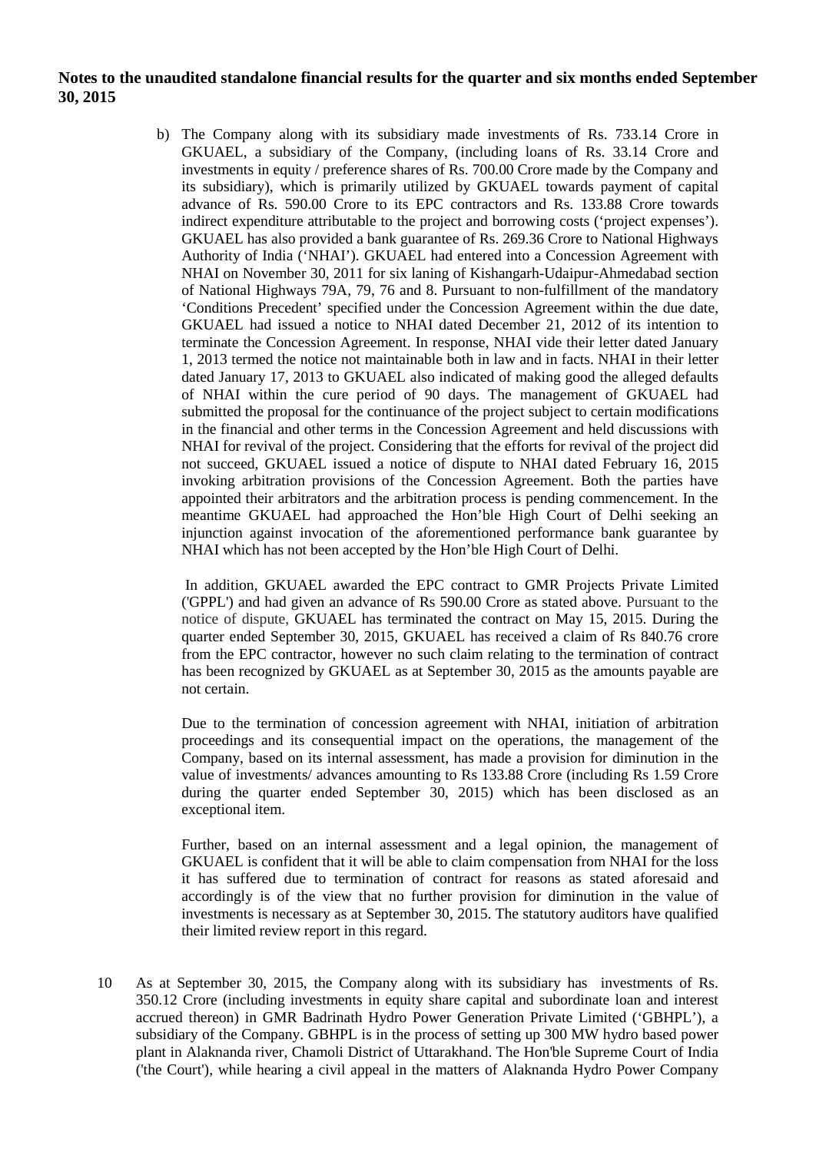b) The Company along with its subsidiary made investments of Rs. 733.14 Crore in GKUAEL, a subsidiary of the Company, (including loans of Rs. 33.14 Crore and investments in equity / preference shares of Rs. 700.00 Crore made by the Company and its subsidiary), which is primarily utilized by GKUAEL towards payment of capital advance of Rs. 590.00 Crore to its EPC contractors and Rs. 133.88 Crore towards indirect expenditure attributable to the project and borrowing costs ('project expenses'). GKUAEL has also provided a bank guarantee of Rs. 269.36 Crore to National Highways Authority of India ('NHAI'). GKUAEL had entered into a Concession Agreement with NHAI on November 30, 2011 for six laning of Kishangarh-Udaipur-Ahmedabad section of National Highways 79A, 79, 76 and 8. Pursuant to non-fulfillment of the mandatory 'Conditions Precedent' specified under the Concession Agreement within the due date, GKUAEL had issued a notice to NHAI dated December 21, 2012 of its intention to terminate the Concession Agreement. In response, NHAI vide their letter dated January 1, 2013 termed the notice not maintainable both in law and in facts. NHAI in their letter dated January 17, 2013 to GKUAEL also indicated of making good the alleged defaults of NHAI within the cure period of 90 days. The management of GKUAEL had submitted the proposal for the continuance of the project subject to certain modifications in the financial and other terms in the Concession Agreement and held discussions with NHAI for revival of the project. Considering that the efforts for revival of the project did not succeed, GKUAEL issued a notice of dispute to NHAI dated February 16, 2015 invoking arbitration provisions of the Concession Agreement. Both the parties have appointed their arbitrators and the arbitration process is pending commencement. In the meantime GKUAEL had approached the Hon'ble High Court of Delhi seeking an injunction against invocation of the aforementioned performance bank guarantee by NHAI which has not been accepted by the Hon'ble High Court of Delhi.

In addition, GKUAEL awarded the EPC contract to GMR Projects Private Limited ('GPPL') and had given an advance of Rs 590.00 Crore as stated above. Pursuant to the notice of dispute, GKUAEL has terminated the contract on May 15, 2015. During the quarter ended September 30, 2015, GKUAEL has received a claim of Rs 840.76 crore from the EPC contractor, however no such claim relating to the termination of contract has been recognized by GKUAEL as at September 30, 2015 as the amounts payable are not certain.

Due to the termination of concession agreement with NHAI, initiation of arbitration proceedings and its consequential impact on the operations, the management of the Company, based on its internal assessment, has made a provision for diminution in the value of investments/ advances amounting to Rs 133.88 Crore (including Rs 1.59 Crore during the quarter ended September 30, 2015) which has been disclosed as an exceptional item.

Further, based on an internal assessment and a legal opinion, the management of GKUAEL is confident that it will be able to claim compensation from NHAI for the loss it has suffered due to termination of contract for reasons as stated aforesaid and accordingly is of the view that no further provision for diminution in the value of investments is necessary as at September 30, 2015. The statutory auditors have qualified their limited review report in this regard.

10 As at September 30, 2015, the Company along with its subsidiary has investments of Rs. 350.12 Crore (including investments in equity share capital and subordinate loan and interest accrued thereon) in GMR Badrinath Hydro Power Generation Private Limited ('GBHPL'), a subsidiary of the Company. GBHPL is in the process of setting up 300 MW hydro based power plant in Alaknanda river, Chamoli District of Uttarakhand. The Hon'ble Supreme Court of India ('the Court'), while hearing a civil appeal in the matters of Alaknanda Hydro Power Company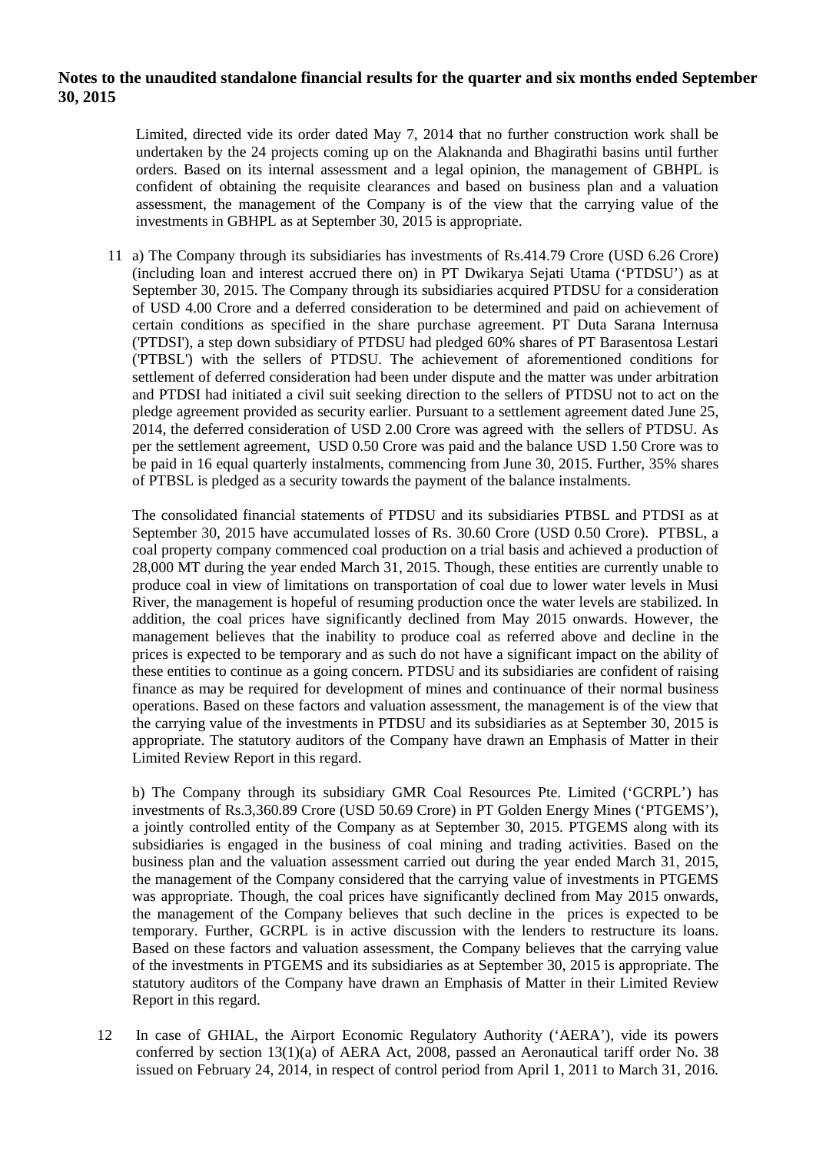Limited, directed vide its order dated May 7, 2014 that no further construction work shall be undertaken by the 24 projects coming up on the Alaknanda and Bhagirathi basins until further orders. Based on its internal assessment and a legal opinion, the management of GBHPL is confident of obtaining the requisite clearances and based on business plan and a valuation assessment, the management of the Company is of the view that the carrying value of the investments in GBHPL as at September 30, 2015 is appropriate.

11 a) The Company through its subsidiaries has investments of Rs.414.79 Crore (USD 6.26 Crore) (including loan and interest accrued there on) in PT Dwikarya Sejati Utama ('PTDSU') as at September 30, 2015. The Company through its subsidiaries acquired PTDSU for a consideration of USD 4.00 Crore and a deferred consideration to be determined and paid on achievement of certain conditions as specified in the share purchase agreement. PT Duta Sarana Internusa ('PTDSI'), a step down subsidiary of PTDSU had pledged 60% shares of PT Barasentosa Lestari ('PTBSL') with the sellers of PTDSU. The achievement of aforementioned conditions for settlement of deferred consideration had been under dispute and the matter was under arbitration and PTDSI had initiated a civil suit seeking direction to the sellers of PTDSU not to act on the pledge agreement provided as security earlier. Pursuant to a settlement agreement dated June 25, 2014, the deferred consideration of USD 2.00 Crore was agreed with the sellers of PTDSU. As per the settlement agreement, USD 0.50 Crore was paid and the balance USD 1.50 Crore was to be paid in 16 equal quarterly instalments, commencing from June 30, 2015. Further, 35% shares of PTBSL is pledged as a security towards the payment of the balance instalments.

The consolidated financial statements of PTDSU and its subsidiaries PTBSL and PTDSI as at September 30, 2015 have accumulated losses of Rs. 30.60 Crore (USD 0.50 Crore). PTBSL, a coal property company commenced coal production on a trial basis and achieved a production of 28,000 MT during the year ended March 31, 2015. Though, these entities are currently unable to produce coal in view of limitations on transportation of coal due to lower water levels in Musi River, the management is hopeful of resuming production once the water levels are stabilized. In addition, the coal prices have significantly declined from May 2015 onwards. However, the management believes that the inability to produce coal as referred above and decline in the prices is expected to be temporary and as such do not have a significant impact on the ability of these entities to continue as a going concern. PTDSU and its subsidiaries are confident of raising finance as may be required for development of mines and continuance of their normal business operations. Based on these factors and valuation assessment, the management is of the view that the carrying value of the investments in PTDSU and its subsidiaries as at September 30, 2015 is appropriate. The statutory auditors of the Company have drawn an Emphasis of Matter in their Limited Review Report in this regard.

b) The Company through its subsidiary GMR Coal Resources Pte. Limited ('GCRPL') has investments of Rs.3,360.89 Crore (USD 50.69 Crore) in PT Golden Energy Mines ('PTGEMS'), a jointly controlled entity of the Company as at September 30, 2015. PTGEMS along with its subsidiaries is engaged in the business of coal mining and trading activities. Based on the business plan and the valuation assessment carried out during the year ended March 31, 2015, the management of the Company considered that the carrying value of investments in PTGEMS was appropriate. Though, the coal prices have significantly declined from May 2015 onwards, the management of the Company believes that such decline in the prices is expected to be temporary. Further, GCRPL is in active discussion with the lenders to restructure its loans. Based on these factors and valuation assessment, the Company believes that the carrying value of the investments in PTGEMS and its subsidiaries as at September 30, 2015 is appropriate. The statutory auditors of the Company have drawn an Emphasis of Matter in their Limited Review Report in this regard.

12 In case of GHIAL, the Airport Economic Regulatory Authority ('AERA'), vide its powers conferred by section 13(1)(a) of AERA Act, 2008, passed an Aeronautical tariff order No. 38 issued on February 24, 2014, in respect of control period from April 1, 2011 to March 31, 2016.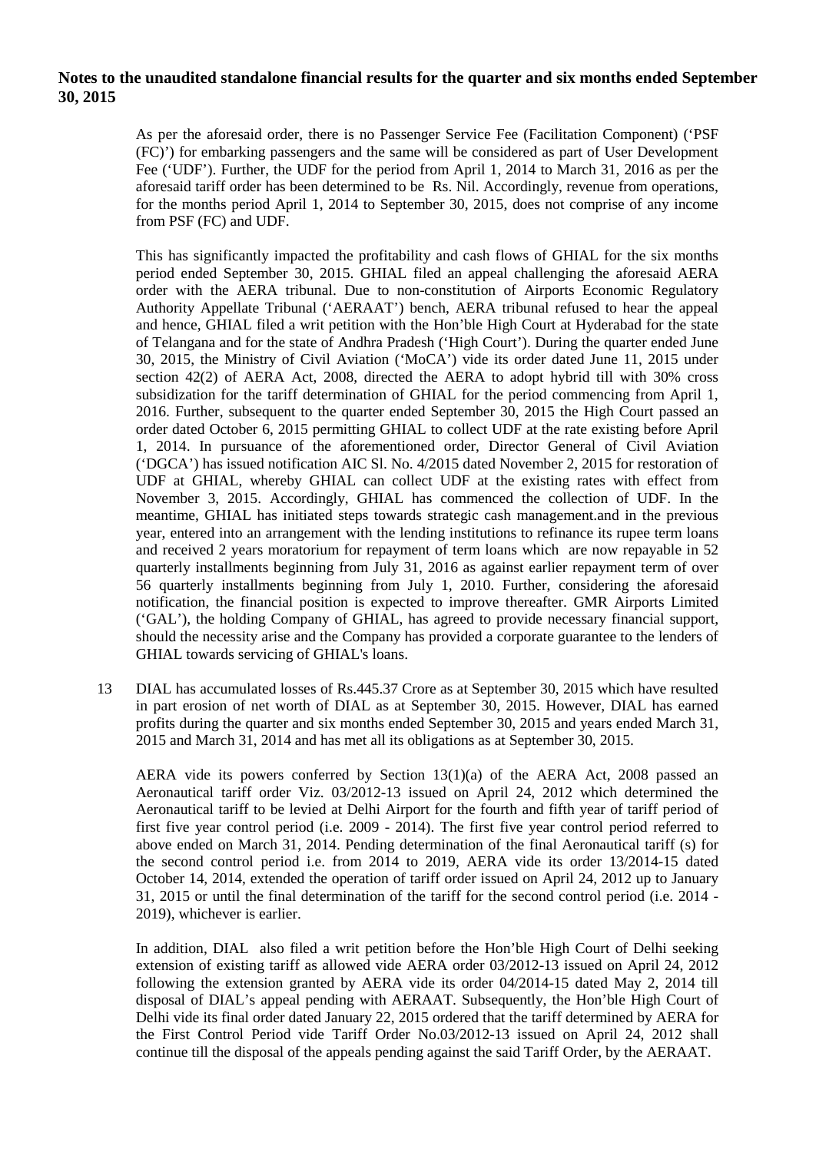As per the aforesaid order, there is no Passenger Service Fee (Facilitation Component) ('PSF (FC)') for embarking passengers and the same will be considered as part of User Development Fee ('UDF'). Further, the UDF for the period from April 1, 2014 to March 31, 2016 as per the aforesaid tariff order has been determined to be Rs. Nil. Accordingly, revenue from operations, for the months period April 1, 2014 to September 30, 2015, does not comprise of any income from PSF (FC) and UDF.

This has significantly impacted the profitability and cash flows of GHIAL for the six months period ended September 30, 2015. GHIAL filed an appeal challenging the aforesaid AERA order with the AERA tribunal. Due to non-constitution of Airports Economic Regulatory Authority Appellate Tribunal ('AERAAT') bench, AERA tribunal refused to hear the appeal and hence, GHIAL filed a writ petition with the Hon'ble High Court at Hyderabad for the state of Telangana and for the state of Andhra Pradesh ('High Court'). During the quarter ended June 30, 2015, the Ministry of Civil Aviation ('MoCA') vide its order dated June 11, 2015 under section 42(2) of AERA Act, 2008, directed the AERA to adopt hybrid till with 30% cross subsidization for the tariff determination of GHIAL for the period commencing from April 1, 2016. Further, subsequent to the quarter ended September 30, 2015 the High Court passed an order dated October 6, 2015 permitting GHIAL to collect UDF at the rate existing before April 1, 2014. In pursuance of the aforementioned order, Director General of Civil Aviation ('DGCA') has issued notification AIC Sl. No. 4/2015 dated November 2, 2015 for restoration of UDF at GHIAL, whereby GHIAL can collect UDF at the existing rates with effect from November 3, 2015. Accordingly, GHIAL has commenced the collection of UDF. In the meantime, GHIAL has initiated steps towards strategic cash management.and in the previous year, entered into an arrangement with the lending institutions to refinance its rupee term loans and received 2 years moratorium for repayment of term loans which are now repayable in 52 quarterly installments beginning from July 31, 2016 as against earlier repayment term of over 56 quarterly installments beginning from July 1, 2010. Further, considering the aforesaid notification, the financial position is expected to improve thereafter. GMR Airports Limited ('GAL'), the holding Company of GHIAL, has agreed to provide necessary financial support, should the necessity arise and the Company has provided a corporate guarantee to the lenders of GHIAL towards servicing of GHIAL's loans.

13 DIAL has accumulated losses of Rs.445.37 Crore as at September 30, 2015 which have resulted in part erosion of net worth of DIAL as at September 30, 2015. However, DIAL has earned profits during the quarter and six months ended September 30, 2015 and years ended March 31, 2015 and March 31, 2014 and has met all its obligations as at September 30, 2015.

AERA vide its powers conferred by Section 13(1)(a) of the AERA Act, 2008 passed an Aeronautical tariff order Viz. 03/2012-13 issued on April 24, 2012 which determined the Aeronautical tariff to be levied at Delhi Airport for the fourth and fifth year of tariff period of first five year control period (i.e. 2009 - 2014). The first five year control period referred to above ended on March 31, 2014. Pending determination of the final Aeronautical tariff (s) for the second control period i.e. from 2014 to 2019, AERA vide its order 13/2014-15 dated October 14, 2014, extended the operation of tariff order issued on April 24, 2012 up to January 31, 2015 or until the final determination of the tariff for the second control period (i.e. 2014 - 2019), whichever is earlier.

In addition, DIAL also filed a writ petition before the Hon'ble High Court of Delhi seeking extension of existing tariff as allowed vide AERA order 03/2012-13 issued on April 24, 2012 following the extension granted by AERA vide its order 04/2014-15 dated May 2, 2014 till disposal of DIAL's appeal pending with AERAAT. Subsequently, the Hon'ble High Court of Delhi vide its final order dated January 22, 2015 ordered that the tariff determined by AERA for the First Control Period vide Tariff Order No.03/2012-13 issued on April 24, 2012 shall continue till the disposal of the appeals pending against the said Tariff Order, by the AERAAT.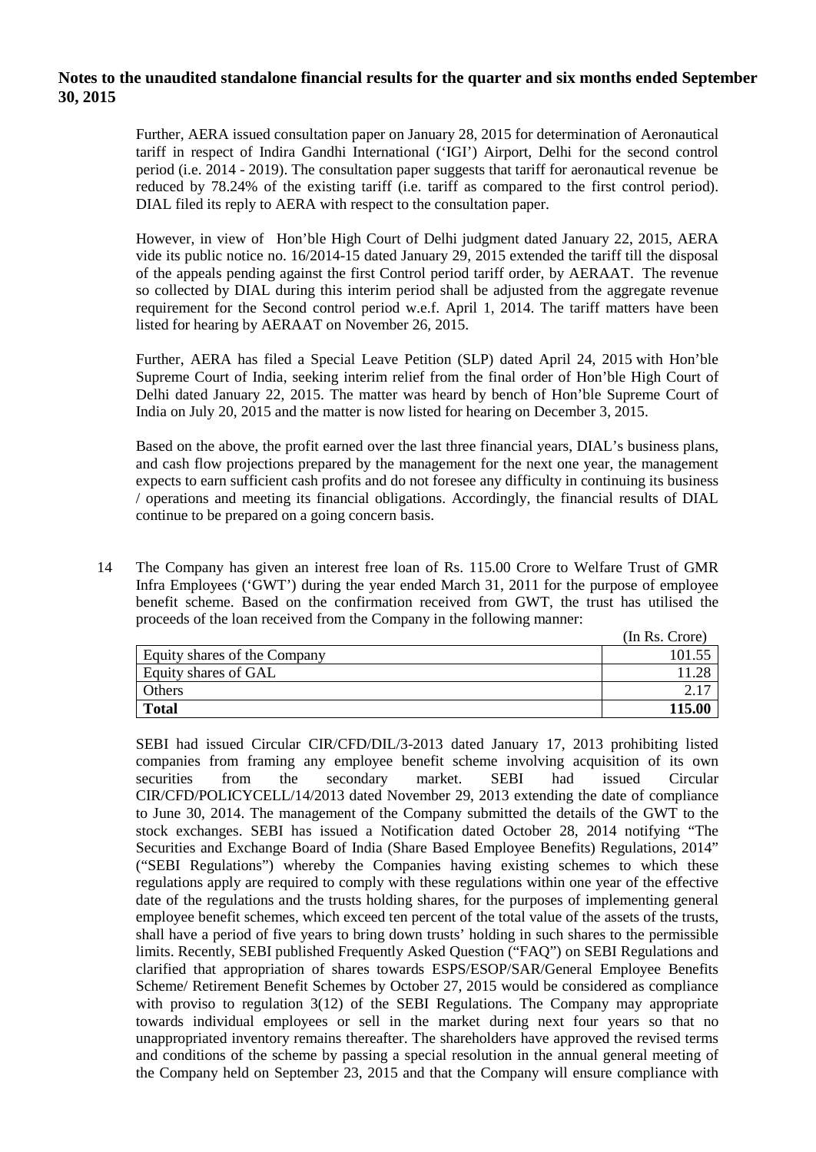Further, AERA issued consultation paper on January 28, 2015 for determination of Aeronautical tariff in respect of Indira Gandhi International ('IGI') Airport, Delhi for the second control period (i.e. 2014 - 2019). The consultation paper suggests that tariff for aeronautical revenue be reduced by 78.24% of the existing tariff (i.e. tariff as compared to the first control period). DIAL filed its reply to AERA with respect to the consultation paper.

However, in view of Hon'ble High Court of Delhi judgment dated January 22, 2015, AERA vide its public notice no. 16/2014-15 dated January 29, 2015 extended the tariff till the disposal of the appeals pending against the first Control period tariff order, by AERAAT. The revenue so collected by DIAL during this interim period shall be adjusted from the aggregate revenue requirement for the Second control period w.e.f. April 1, 2014. The tariff matters have been listed for hearing by AERAAT on November 26, 2015.

Further, AERA has filed a Special Leave Petition (SLP) dated April 24, 2015 with Hon'ble Supreme Court of India, seeking interim relief from the final order of Hon'ble High Court of Delhi dated January 22, 2015. The matter was heard by bench of Hon'ble Supreme Court of India on July 20, 2015 and the matter is now listed for hearing on December 3, 2015.

Based on the above, the profit earned over the last three financial years, DIAL's business plans, and cash flow projections prepared by the management for the next one year, the management expects to earn sufficient cash profits and do not foresee any difficulty in continuing its business / operations and meeting its financial obligations. Accordingly, the financial results of DIAL continue to be prepared on a going concern basis.

14 The Company has given an interest free loan of Rs. 115.00 Crore to Welfare Trust of GMR Infra Employees ('GWT') during the year ended March 31, 2011 for the purpose of employee benefit scheme. Based on the confirmation received from GWT, the trust has utilised the proceeds of the loan received from the Company in the following manner:

|                              | (In Rs. Crore) |
|------------------------------|----------------|
| Equity shares of the Company | 101.55         |
| Equity shares of GAL         |                |
| Others                       |                |
| <b>Total</b>                 | 115.00         |

SEBI had issued Circular CIR/CFD/DIL/3-2013 dated January 17, 2013 prohibiting listed companies from framing any employee benefit scheme involving acquisition of its own securities from the secondary market. SEBI had issued Circular CIR/CFD/POLICYCELL/14/2013 dated November 29, 2013 extending the date of compliance to June 30, 2014. The management of the Company submitted the details of the GWT to the stock exchanges. SEBI has issued a Notification dated October 28, 2014 notifying "The Securities and Exchange Board of India (Share Based Employee Benefits) Regulations, 2014" ("SEBI Regulations") whereby the Companies having existing schemes to which these regulations apply are required to comply with these regulations within one year of the effective date of the regulations and the trusts holding shares, for the purposes of implementing general employee benefit schemes, which exceed ten percent of the total value of the assets of the trusts, shall have a period of five years to bring down trusts' holding in such shares to the permissible limits. Recently, SEBI published Frequently Asked Question ("FAQ") on SEBI Regulations and clarified that appropriation of shares towards ESPS/ESOP/SAR/General Employee Benefits Scheme/ Retirement Benefit Schemes by October 27, 2015 would be considered as compliance with proviso to regulation 3(12) of the SEBI Regulations. The Company may appropriate towards individual employees or sell in the market during next four years so that no unappropriated inventory remains thereafter. The shareholders have approved the revised terms and conditions of the scheme by passing a special resolution in the annual general meeting of the Company held on September 23, 2015 and that the Company will ensure compliance with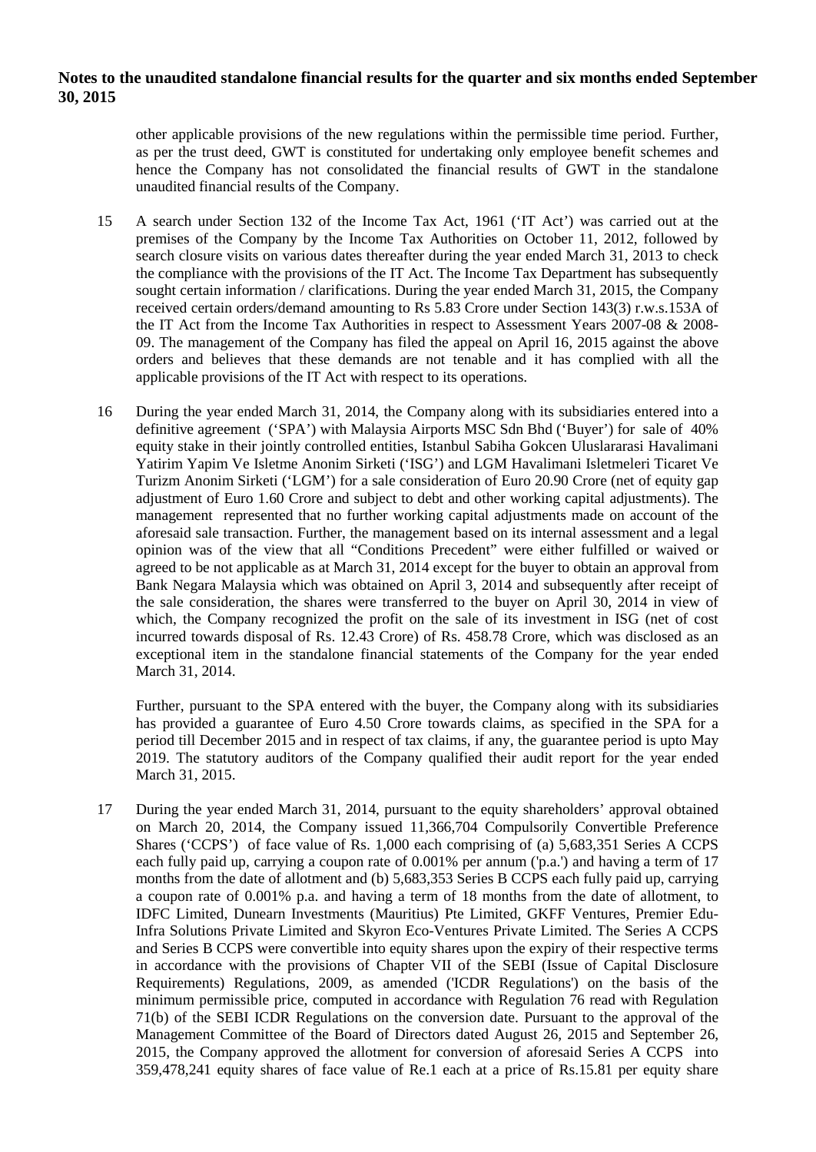other applicable provisions of the new regulations within the permissible time period. Further, as per the trust deed, GWT is constituted for undertaking only employee benefit schemes and hence the Company has not consolidated the financial results of GWT in the standalone unaudited financial results of the Company.

- 15 A search under Section 132 of the Income Tax Act, 1961 ('IT Act') was carried out at the premises of the Company by the Income Tax Authorities on October 11, 2012, followed by search closure visits on various dates thereafter during the year ended March 31, 2013 to check the compliance with the provisions of the IT Act. The Income Tax Department has subsequently sought certain information / clarifications. During the year ended March 31, 2015, the Company received certain orders/demand amounting to Rs 5.83 Crore under Section 143(3) r.w.s.153A of the IT Act from the Income Tax Authorities in respect to Assessment Years 2007-08 & 2008- 09. The management of the Company has filed the appeal on April 16, 2015 against the above orders and believes that these demands are not tenable and it has complied with all the applicable provisions of the IT Act with respect to its operations.
- 16 During the year ended March 31, 2014, the Company along with its subsidiaries entered into a definitive agreement ('SPA') with Malaysia Airports MSC Sdn Bhd ('Buyer') for sale of 40% equity stake in their jointly controlled entities, Istanbul Sabiha Gokcen Uluslararasi Havalimani Yatirim Yapim Ve Isletme Anonim Sirketi ('ISG') and LGM Havalimani Isletmeleri Ticaret Ve Turizm Anonim Sirketi ('LGM') for a sale consideration of Euro 20.90 Crore (net of equity gap adjustment of Euro 1.60 Crore and subject to debt and other working capital adjustments). The management represented that no further working capital adjustments made on account of the aforesaid sale transaction. Further, the management based on its internal assessment and a legal opinion was of the view that all "Conditions Precedent" were either fulfilled or waived or agreed to be not applicable as at March 31, 2014 except for the buyer to obtain an approval from Bank Negara Malaysia which was obtained on April 3, 2014 and subsequently after receipt of the sale consideration, the shares were transferred to the buyer on April 30, 2014 in view of which, the Company recognized the profit on the sale of its investment in ISG (net of cost incurred towards disposal of Rs. 12.43 Crore) of Rs. 458.78 Crore, which was disclosed as an exceptional item in the standalone financial statements of the Company for the year ended March 31, 2014.

Further, pursuant to the SPA entered with the buyer, the Company along with its subsidiaries has provided a guarantee of Euro 4.50 Crore towards claims, as specified in the SPA for a period till December 2015 and in respect of tax claims, if any, the guarantee period is upto May 2019. The statutory auditors of the Company qualified their audit report for the year ended March 31, 2015.

17 During the year ended March 31, 2014, pursuant to the equity shareholders' approval obtained on March 20, 2014, the Company issued 11,366,704 Compulsorily Convertible Preference Shares ('CCPS') of face value of Rs. 1,000 each comprising of (a) 5,683,351 Series A CCPS each fully paid up, carrying a coupon rate of 0.001% per annum ('p.a.') and having a term of 17 months from the date of allotment and (b) 5,683,353 Series B CCPS each fully paid up, carrying a coupon rate of 0.001% p.a. and having a term of 18 months from the date of allotment, to IDFC Limited, Dunearn Investments (Mauritius) Pte Limited, GKFF Ventures, Premier Edu-Infra Solutions Private Limited and Skyron Eco-Ventures Private Limited. The Series A CCPS and Series B CCPS were convertible into equity shares upon the expiry of their respective terms in accordance with the provisions of Chapter VII of the SEBI (Issue of Capital Disclosure Requirements) Regulations, 2009, as amended ('ICDR Regulations') on the basis of the minimum permissible price, computed in accordance with Regulation 76 read with Regulation 71(b) of the SEBI ICDR Regulations on the conversion date. Pursuant to the approval of the Management Committee of the Board of Directors dated August 26, 2015 and September 26, 2015, the Company approved the allotment for conversion of aforesaid Series A CCPS into 359,478,241 equity shares of face value of Re.1 each at a price of Rs.15.81 per equity share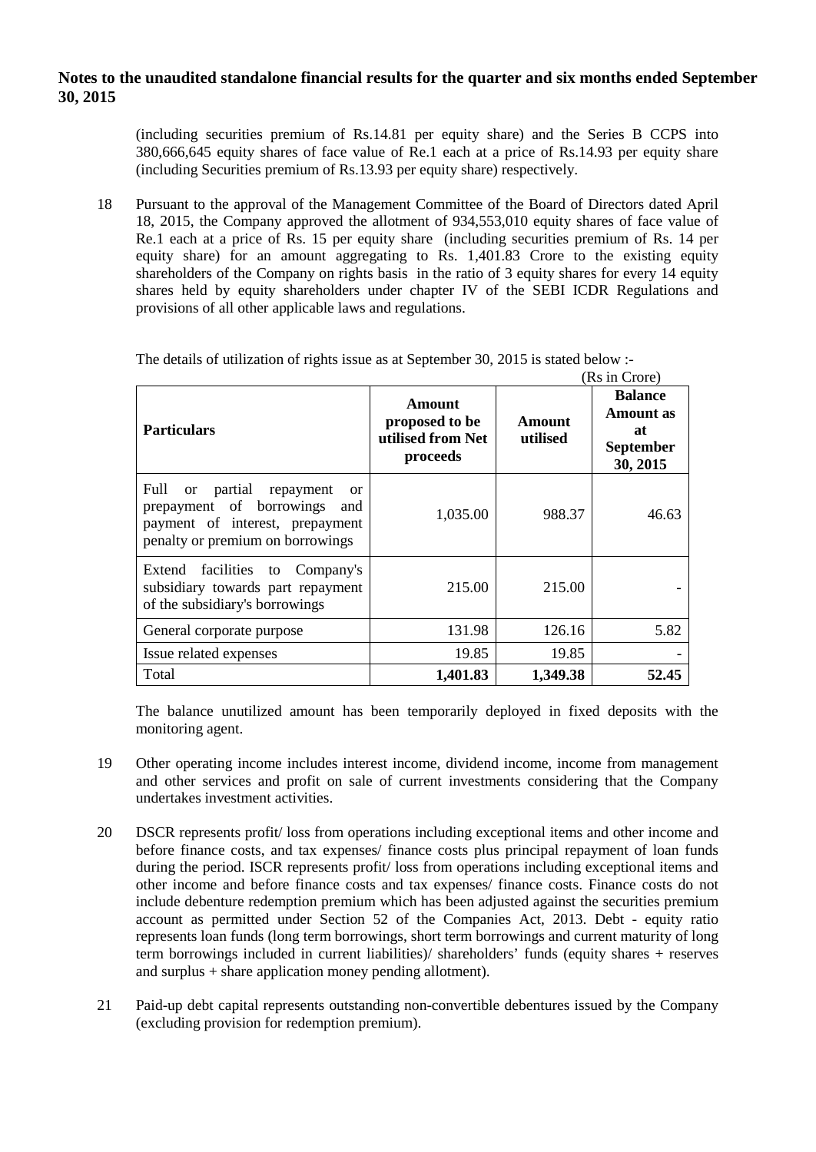(including securities premium of Rs.14.81 per equity share) and the Series B CCPS into 380,666,645 equity shares of face value of Re.1 each at a price of Rs.14.93 per equity share (including Securities premium of Rs.13.93 per equity share) respectively.

18 Pursuant to the approval of the Management Committee of the Board of Directors dated April 18, 2015, the Company approved the allotment of 934,553,010 equity shares of face value of Re.1 each at a price of Rs. 15 per equity share (including securities premium of Rs. 14 per equity share) for an amount aggregating to Rs. 1,401.83 Crore to the existing equity shareholders of the Company on rights basis in the ratio of 3 equity shares for every 14 equity shares held by equity shareholders under chapter IV of the SEBI ICDR Regulations and provisions of all other applicable laws and regulations.

| <b>Particulars</b>                                                                                                                                                   | Amount<br>proposed to be<br>utilised from Net<br>proceeds | <b>Amount</b><br>utilised | AN III CIVIE)<br><b>Balance</b><br><b>Amount</b> as<br>at<br><b>September</b><br>30, 2015 |
|----------------------------------------------------------------------------------------------------------------------------------------------------------------------|-----------------------------------------------------------|---------------------------|-------------------------------------------------------------------------------------------|
| Full<br>partial<br>repayment<br><b>or</b><br><sub>or</sub><br>prepayment of borrowings<br>and<br>payment of interest, prepayment<br>penalty or premium on borrowings | 1,035.00                                                  | 988.37                    | 46.63                                                                                     |
| Extend facilities to<br>Company's<br>subsidiary towards part repayment<br>of the subsidiary's borrowings                                                             | 215.00                                                    | 215.00                    |                                                                                           |
| General corporate purpose                                                                                                                                            | 131.98                                                    | 126.16                    | 5.82                                                                                      |
| Issue related expenses                                                                                                                                               | 19.85                                                     | 19.85                     |                                                                                           |
| Total                                                                                                                                                                | 1,401.83                                                  | 1,349.38                  | 52.45                                                                                     |

The details of utilization of rights issue as at September 30, 2015 is stated below :-  $(P_s$  in  $C_{r^{\alpha}}$ 

The balance unutilized amount has been temporarily deployed in fixed deposits with the monitoring agent.

- 19 Other operating income includes interest income, dividend income, income from management and other services and profit on sale of current investments considering that the Company undertakes investment activities.
- 20 DSCR represents profit/ loss from operations including exceptional items and other income and before finance costs, and tax expenses/ finance costs plus principal repayment of loan funds during the period. ISCR represents profit/ loss from operations including exceptional items and other income and before finance costs and tax expenses/ finance costs. Finance costs do not include debenture redemption premium which has been adjusted against the securities premium account as permitted under Section 52 of the Companies Act, 2013. Debt - equity ratio represents loan funds (long term borrowings, short term borrowings and current maturity of long term borrowings included in current liabilities)/ shareholders' funds (equity shares + reserves and surplus + share application money pending allotment).
- 21 Paid-up debt capital represents outstanding non-convertible debentures issued by the Company (excluding provision for redemption premium).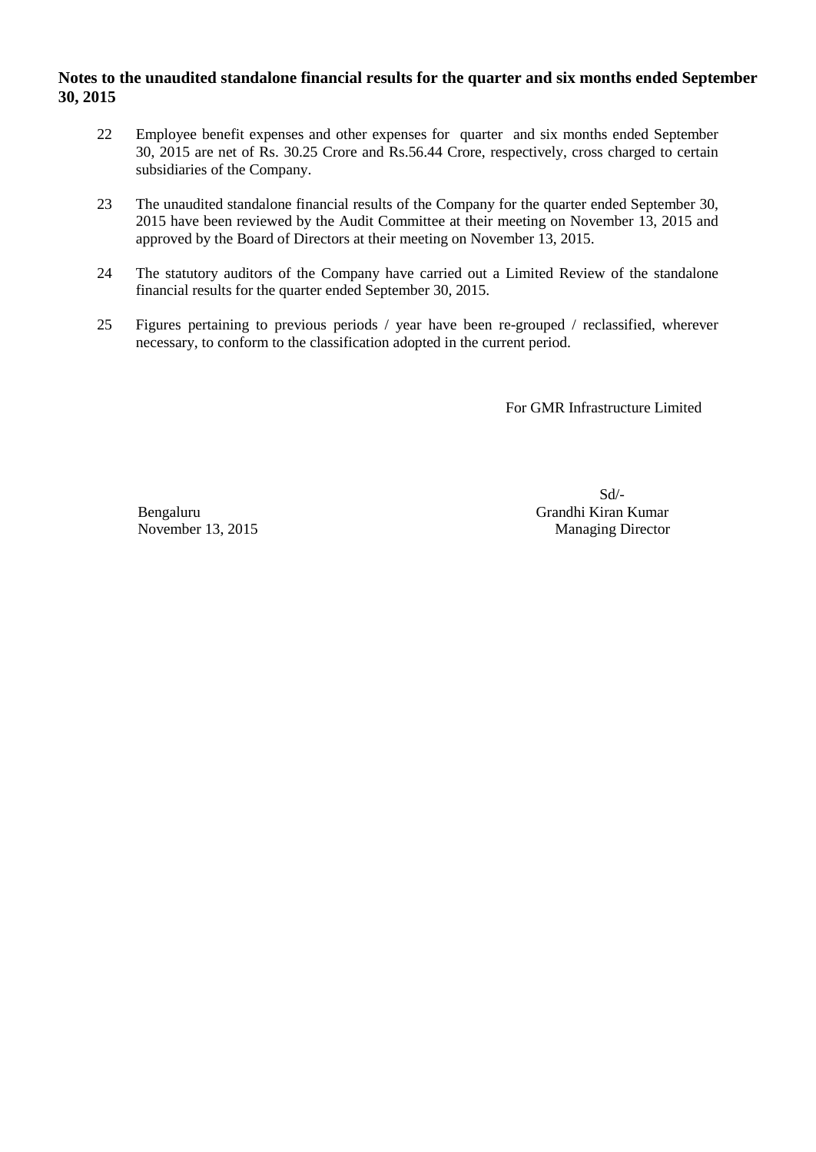- 22 Employee benefit expenses and other expenses for quarter and six months ended September 30, 2015 are net of Rs. 30.25 Crore and Rs.56.44 Crore, respectively, cross charged to certain subsidiaries of the Company.
- 23 The unaudited standalone financial results of the Company for the quarter ended September 30, 2015 have been reviewed by the Audit Committee at their meeting on November 13, 2015 and approved by the Board of Directors at their meeting on November 13, 2015.
- 24 The statutory auditors of the Company have carried out a Limited Review of the standalone financial results for the quarter ended September 30, 2015.
- 25 Figures pertaining to previous periods / year have been re-grouped / reclassified, wherever necessary, to conform to the classification adopted in the current period.

For GMR Infrastructure Limited

 Sd/- Bengaluru Grandhi Kiran Kumar November 13, 2015 Managing Director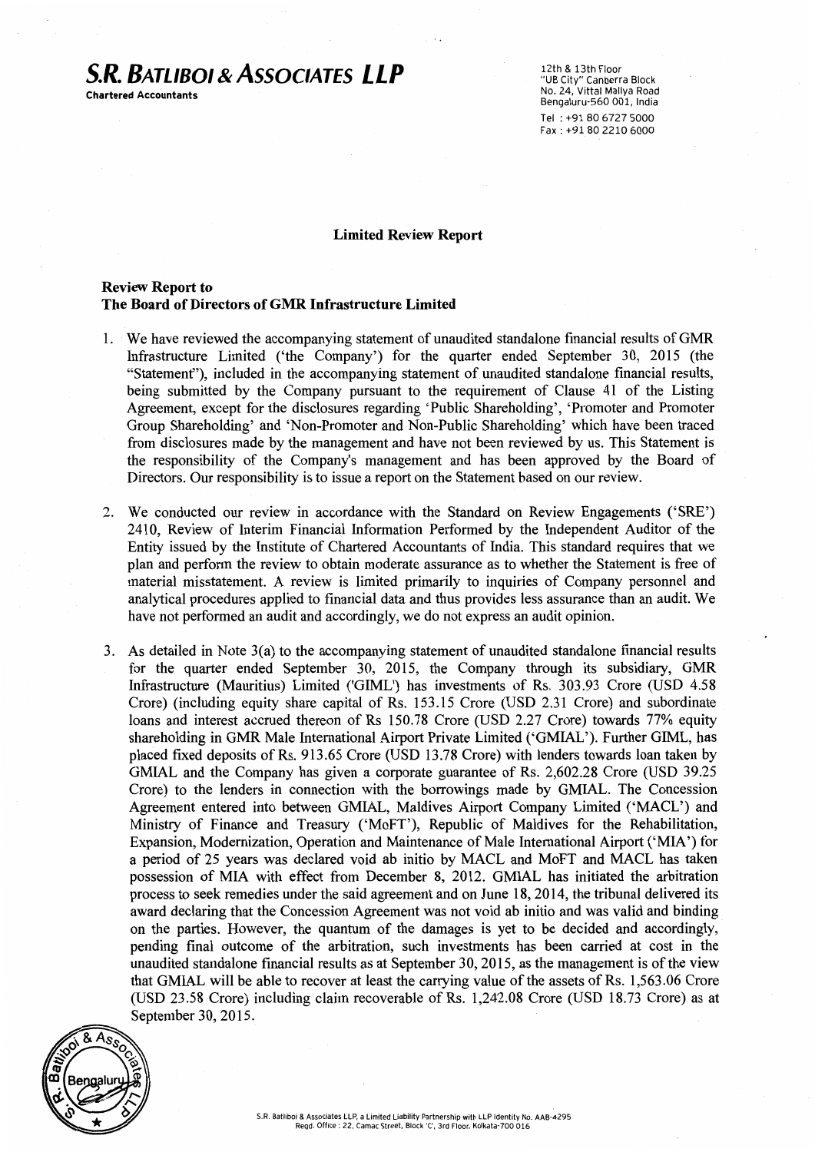# **S.R. BATLIBOI & AssociATES LLP**

Chartered Accountants

12th & 13th Floor "UB City" Canberra Block No. 24, Vittal Mallya Road Bengaluru·560 001, India Tel : +91 80 6727 5000 Fax : +91 80 2210 6000

#### Limited Review Report

#### Review Report to The Board of Directors ofGMR Infrastructure Limited

- 1. We have reviewed the accompanying statement of unaudited standalone financial results of GMR Infrastructure Limited ('the Company') for the quarter ended September 30, 2015 (the "Statement"), included in the accompanying statement of unaudited standalone financial results, being submitted by the Company pursuant to the requirement of Clause 41 of the Listing Agreement, except for the disclosures regarding 'Public Shareholding', 'Promoter and Promoter Group Shareholding' and 'Non-Promoter and Non-Public Shareholding' which have been traced from disclosures made by the management and have not been reviewed by us. This Statement is the responsibility of the Company's management and has been approved by the Board of Directors. Our responsibility is to issue a report on the Statement based on our review.
- 2. We conducted our review in accordance with the Standard on Review Engagements ('SRE') 2410, Review of Interim Financial Information Performed by the Independent Auditor of the Entity issued by the Institute of Chartered Accountants of India. This standard requires that we plan and perform the review to obtain moderate assurance as to whether the Statement is free of material misstatement. A review is limited primarily to inquiries of Company personnel and analytical procedures applied to financial data and thus provides less assurance than an audit. We have not performed an audit and accordingly, we do not express an audit opinion.
- 3. As detailed in Note 3(a) to the accompanying statement of unaudited standalone financial results for the quarter ended September 30, 2015, the Company through its subsidiary, GMR Infrastructure (Mauritius) Limited ('GIML') has investments of Rs. 303.93 Crore (USD 4.58 Crore) (including equity share capital of Rs. 153.15 Crore (USD 2.31 Crore) and subordinate loans and interest accrued thereon of Rs 150.78 Crore (USD 2.27 Crore) towards 77% equity shareholding in GMR Male International Airport Private Limited ('GMIAL'). Further GIML, has placed fixed deposits of Rs. 913.65 Crore (USD 13.78 Crore) with lenders towards loan taken by GMIAL and the Company has given a corporate guarantee of Rs. 2,602.28 Crore (USD 39.25 Crore) to the lenders in connection with the borrowings made by GMIAL. The Concession Agreement entered into between GMIAL, Maldives Airport Company Limited ('MACL') and Ministry of Finance and Treasury ('MoFT'), Republic of Maldives for the Rehabilitation, Expansion, Modernization, Operation and Maintenance of Male International Airport ('MIA') for a period of 25 years was declared void ab initio by MACL and MoFT and MACL has taken possession of MIA with effect from December 8, 2012. GMIAL has initiated the arbitration process to seek remedies under the said agreement and on June 18, 2014, the tribunal delivered its award declaring that the Concession Agreement was not void ab initio and was valid and binding on the parties. However, the quantum of the damages is yet to be decided and accordingly, pending final outcome of the arbitration, such investments has been carried at cost in the unaudited standalone financial results as at September 30, 2015, as the management is of the view that GMIAL will be able to recover at least the carrying value of the assets of Rs. 1,563.06 Crore (USD 23.58 Crore) including claim recoverable of Rs. 1,242.08 Crore (USD 18.73 Crore) as at September 30, 2015.

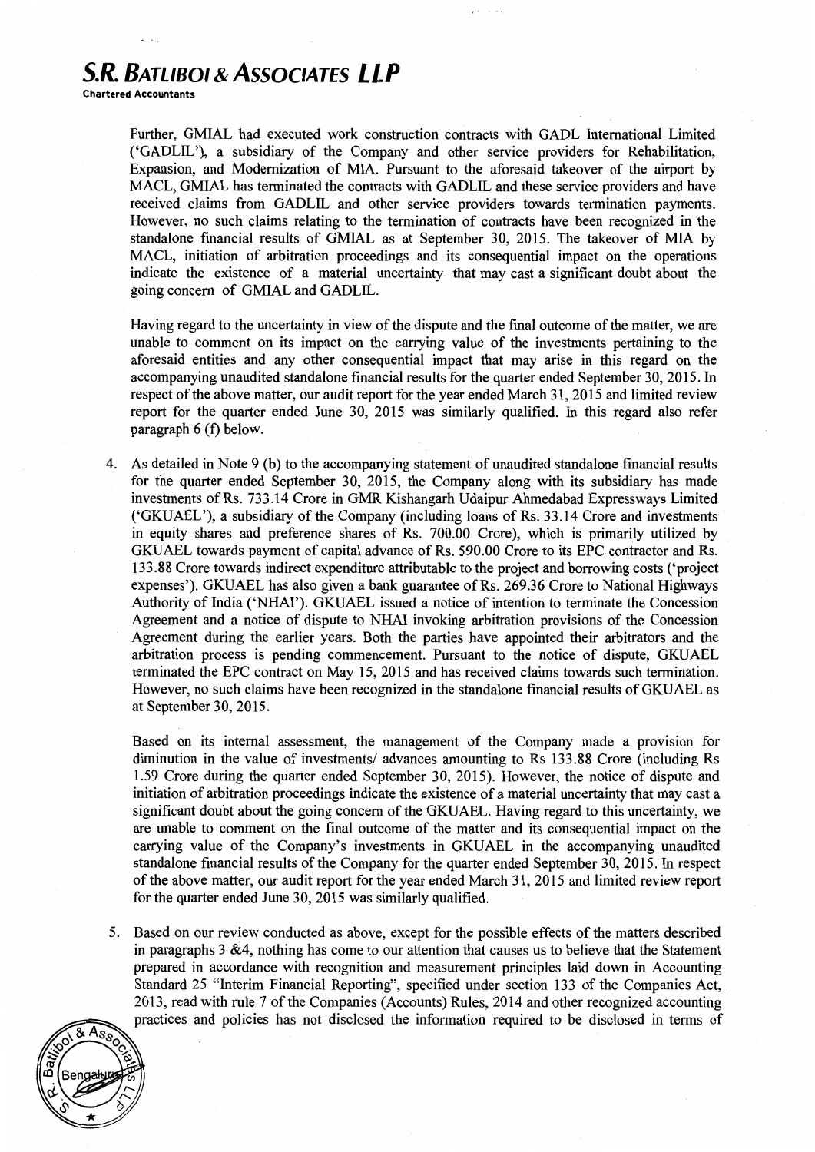# **S.R. BATLIBOI & AssociATES LLP**

Chartered Accountants

Further, GMIAL had executed work construction contracts with GADL International Limited ('GADLIL '), a subsidiary of the Company and other service providers for Rehabilitation, Expansion, and Modernization of MIA. Pursuant to the aforesaid takeover of the airport by MACL, GMlAL has terminated the contracts with GADLIL and these service providers and have received claims from GADLIL and other service providers towards termination payments. However, no such claims relating to the termination of contracts have been recognized in the standalone fmancial results of GMIAL as at September 30, 2015. The takeover of MIA by MACL, initiation of arbitration proceedings and its consequential impact on the operations indicate the existence of a material uncertainty that may cast a significant doubt about the going concern of GMIAL and GADLIL.

Having regard to the uncertainty in view of the dispute and the final outcome of the matter, we are unable to comment on its impact on the carrying value of the investments pertaining to the aforesaid entities and any other consequential impact that may arise in this regard on the accompanying unaudited standalone financial results for the quarter ended September 30, 2015. In respect of the above matter, our audit report for the year ended March 31, 2015 and limited review report for the quarter ended June 30, 2015 was similarly qualified. In this regard also refer paragraph 6 (f) below.

4. As detailed in Note 9 (b) to the accompanying statement of unaudited standalone financial results for the quarter ended September 30, 2015, the Company along with its subsidiary has made investments of Rs. 733.14 Crore in GMR Kishangarh Udaipur Ahmedabad Expressways Limited ('GKUAEL'), a subsidiary of the Company (including loans of Rs. 33.14 Crore and investments in equity shares and preference shares of Rs. 700.00 Crore), which is primarily utilized by GKUAEL towards payment of capital advance of Rs. 590.00 Crore to its EPC contractor and Rs. 133.88 Crore towards indirect expenditure attributable to the project and borrowing costs ('project expenses'). GKUAEL has also given a bank guarantee of Rs. 269.36 Crore to National Highways Authority of India ('NHAI'). GKUAEL issued a notice of intention to terminate the Concession Agreement and a notice of dispute to NHAI invoking arbitration provisions of the Concession Agreement during the earlier years. Both the parties have appointed their arbitrators and the arbitration process is pending commencement. Pursuant to the notice of dispute, GKUAEL terminated the EPC contract on May 15, 2015 and has received claims towards such termination. However, no such claims have been recognized in the standalone financial results of GKUAEL as at September 30,2015.

Based on its internal assessment, the management of the Company made a provision for diminution in the value of investments/ advances amounting to Rs 133.88 Crore (including Rs 1.59 Crore during the quarter ended September 30, 2015). However, the notice of dispute and initiation of arbitration proceedings indicate the existence of a material uncertainty that may cast a significant doubt about the going concern of the GKUAEL. Having regard to this uncertainty, we are unable to comment on the final outcome of the matter and its consequential impact on the carrying value of the Company's investments in GKUAEL in the accompanying unaudited standalone financial results of the Company for the quarter ended September 30, 2015. In respect of the above matter, our audit report for the year ended March 31, 2015 and limited review report for the quarter ended June 30, 2015 was similarly qualified.

5. Based on our review conducted as above, except for the possible effects of the matters described in paragraphs 3 &4, nothing has come to our attention that causes us to believe that the Statement prepared in accordance with recognition and measurement principles laid down in Accounting Standard 25 "Interim Financial Reporting", specified under section 133 of the Companies Act, 2013, read with rule 7 of the Companies (Accounts) Rules, 2014 and other recognized accounting practices and policies has not disclosed the information required to be disclosed in terms of

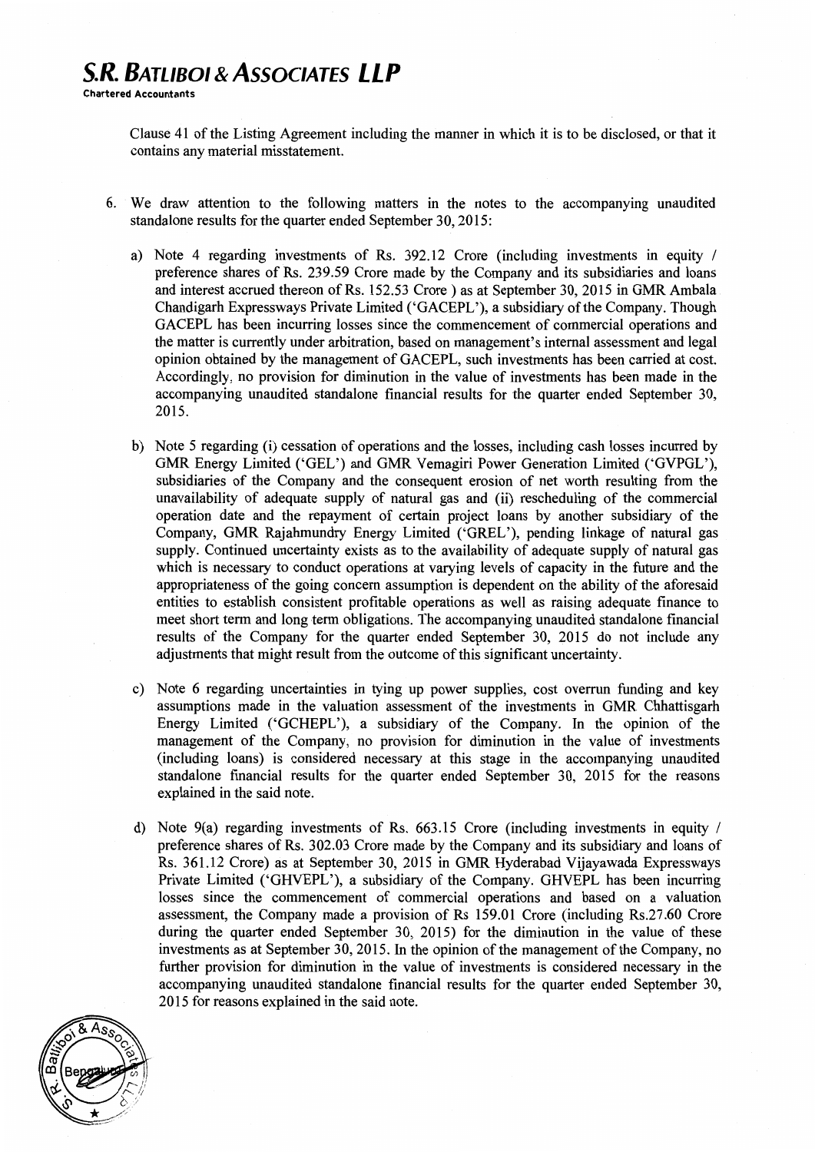Clause 41 of the Listing Agreement including the manner in which it is to be disclosed, or that it contains any material misstatement.

- 6. We draw attention to the following matters in the notes to the accompanying unaudited standalone results for the quarter ended September 30,2015:
	- a) Note 4 regarding investments of Rs. 392.12 Crore (including investments in equity / preference shares of Rs. 239.59 Crore made by the Company and its subsidiaries and loans and interest accrued thereon of Rs. 152.53 Crore ) as at September 30, 2015 in GMR Ambala Chandigarh Expressways Private Limited ('GACEPL'), a subsidiary of the Company. Though GACEPL has been incurring losses since the commencement of commercial operations and the matter is currently under arbitration, based on management's internal assessment and legal opinion obtained by the management of GACEPL, such investments has been carried at cost. Accordingly, no provision for diminution in the value of investments has been made in the accompanying unaudited standalone financial results for the quarter ended September 30, 2015.
	- b) Note *5* regarding (i) cessation of operations and the losses, including cash losses incurred by GMR Energy Limited ('GEL') and GMR Vemagiri Power Generation Limited ('GVPGL'), subsidiaries of the Company and the consequent erosion of net worth resulting from the unavailability of adequate supply of natural gas and (ii) rescheduling of the commercial operation date and the repayment of certain project loans by another subsidiary of the Company, GMR Rajahmundry Energy Limited ('GREL'), pending linkage of natural gas supply. Continued uncertainty exists as to the availability of adequate supply of natural gas which is necessary to conduct operations at varying levels of capacity in the future and the appropriateness of the going concern assumption is dependent on the ability of the aforesaid entities to establish consistent profitable operations as well as raising adequate finance to meet short term and long term obligations. The accompanying unaudited standalone fmancial results of the Company for the quarter ended September 30, 2015 do not include any adjustments that might result from the outcome of this significant uncertainty.
	- c) Note 6 regarding uncertainties in tying up power supplies, cost overrun funding and key assumptions made in the valuation assessment of the investments in GMR Chhattisgarh Energy Limited ('GCHEPL'), a subsidiary of the Company. In the opinion of the management of the Company, no provision for diminution in the value of investments (including loans) is considered necessary at this stage in the accompanying unaudited standalone financial results for the quarter ended September 30, 2015 for the reasons explained in the said note.
	- d) Note  $9(a)$  regarding investments of Rs. 663.15 Crore (including investments in equity / preference shares of Rs. 302.03 Crore made by the Company and its subsidiary and loans of Rs. 361.12 Crore) as at September 30, 2015 in GMR Hyderabad Vijayawada Expressways Private Limited ('GHVEPL'), a subsidiary of the Company. GHVEPL has been incurring losses since the commencement of commercial operations and based on a valuation assessment, the Company made a provision of Rs 159.01 Crore (including Rs.27.60 Crore during the quarter ended September 30, 2015) for the diminution in the value of these investments as at September 30, 2015. In the opinion of the management of the Company, no further provision for diminution in the value of investments is considered necessary in the accompanying unaudited standalone financial results for the quarter ended September 30, 2015 for reasons explained in the said note.